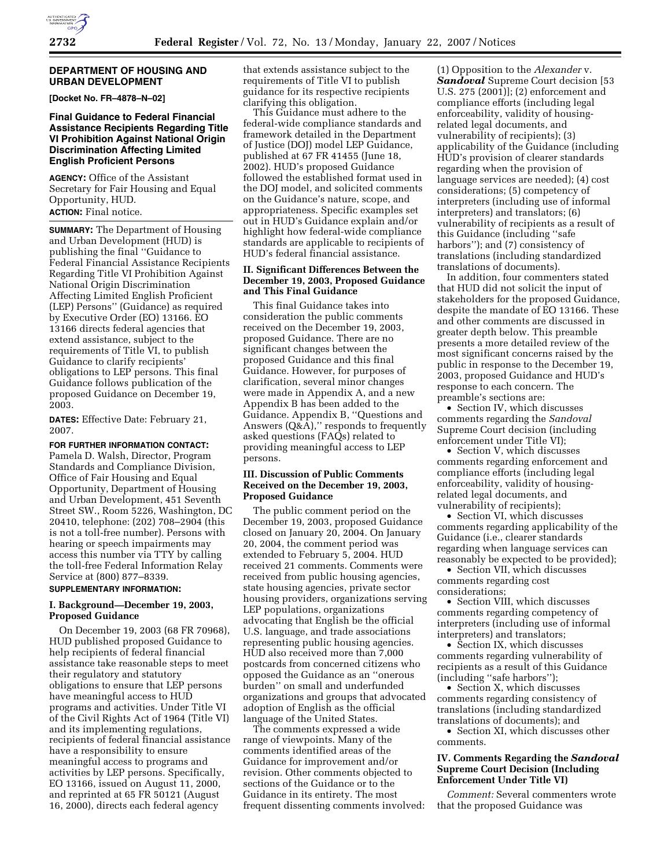

### **DEPARTMENT OF HOUSING AND URBAN DEVELOPMENT**

**[Docket No. FR–4878–N–02]** 

## **Final Guidance to Federal Financial Assistance Recipients Regarding Title VI Prohibition Against National Origin Discrimination Affecting Limited English Proficient Persons**

**AGENCY:** Office of the Assistant Secretary for Fair Housing and Equal Opportunity, HUD. **ACTION:** Final notice.

**SUMMARY:** The Department of Housing and Urban Development (HUD) is publishing the final ''Guidance to Federal Financial Assistance Recipients Regarding Title VI Prohibition Against National Origin Discrimination Affecting Limited English Proficient (LEP) Persons'' (Guidance) as required by Executive Order (EO) 13166. EO 13166 directs federal agencies that extend assistance, subject to the requirements of Title VI, to publish Guidance to clarify recipients' obligations to LEP persons. This final Guidance follows publication of the proposed Guidance on December 19, 2003.

**DATES:** Effective Date: February 21, 2007.

## **FOR FURTHER INFORMATION CONTACT:**

Pamela D. Walsh, Director, Program Standards and Compliance Division, Office of Fair Housing and Equal Opportunity, Department of Housing and Urban Development, 451 Seventh Street SW., Room 5226, Washington, DC 20410, telephone: (202) 708–2904 (this is not a toll-free number). Persons with hearing or speech impairments may access this number via TTY by calling the toll-free Federal Information Relay Service at (800) 877–8339.

## **SUPPLEMENTARY INFORMATION:**

## **I. Background—December 19, 2003, Proposed Guidance**

On December 19, 2003 (68 FR 70968), HUD published proposed Guidance to help recipients of federal financial assistance take reasonable steps to meet their regulatory and statutory obligations to ensure that LEP persons have meaningful access to HUD programs and activities. Under Title VI of the Civil Rights Act of 1964 (Title VI) and its implementing regulations, recipients of federal financial assistance have a responsibility to ensure meaningful access to programs and activities by LEP persons. Specifically, EO 13166, issued on August 11, 2000, and reprinted at 65 FR 50121 (August 16, 2000), directs each federal agency

that extends assistance subject to the requirements of Title VI to publish guidance for its respective recipients clarifying this obligation.

This Guidance must adhere to the federal-wide compliance standards and framework detailed in the Department of Justice (DOJ) model LEP Guidance, published at 67 FR 41455 (June 18, 2002). HUD's proposed Guidance followed the established format used in the DOJ model, and solicited comments on the Guidance's nature, scope, and appropriateness. Specific examples set out in HUD's Guidance explain and/or highlight how federal-wide compliance standards are applicable to recipients of HUD's federal financial assistance.

## **II. Significant Differences Between the December 19, 2003, Proposed Guidance and This Final Guidance**

This final Guidance takes into consideration the public comments received on the December 19, 2003, proposed Guidance. There are no significant changes between the proposed Guidance and this final Guidance. However, for purposes of clarification, several minor changes were made in Appendix A, and a new Appendix B has been added to the Guidance. Appendix B, ''Questions and Answers (Q&A),'' responds to frequently asked questions (FAQs) related to providing meaningful access to LEP persons.

## **III. Discussion of Public Comments Received on the December 19, 2003, Proposed Guidance**

The public comment period on the December 19, 2003, proposed Guidance closed on January 20, 2004. On January 20, 2004, the comment period was extended to February 5, 2004. HUD received 21 comments. Comments were received from public housing agencies, state housing agencies, private sector housing providers, organizations serving LEP populations, organizations advocating that English be the official U.S. language, and trade associations representing public housing agencies. HUD also received more than 7,000 postcards from concerned citizens who opposed the Guidance as an ''onerous burden'' on small and underfunded organizations and groups that advocated adoption of English as the official language of the United States.

The comments expressed a wide range of viewpoints. Many of the comments identified areas of the Guidance for improvement and/or revision. Other comments objected to sections of the Guidance or to the Guidance in its entirety. The most frequent dissenting comments involved:

(1) Opposition to the *Alexander* v. *Sandoval* Supreme Court decision [53 U.S. 275 (2001)]; (2) enforcement and compliance efforts (including legal enforceability, validity of housingrelated legal documents, and vulnerability of recipients); (3) applicability of the Guidance (including HUD's provision of clearer standards regarding when the provision of language services are needed); (4) cost considerations; (5) competency of interpreters (including use of informal interpreters) and translators; (6) vulnerability of recipients as a result of this Guidance (including ''safe harbors"); and (7) consistency of translations (including standardized translations of documents).

In addition, four commenters stated that HUD did not solicit the input of stakeholders for the proposed Guidance, despite the mandate of EO 13166. These and other comments are discussed in greater depth below. This preamble presents a more detailed review of the most significant concerns raised by the public in response to the December 19, 2003, proposed Guidance and HUD's response to each concern. The preamble's sections are:

• Section IV, which discusses comments regarding the *Sandoval*  Supreme Court decision (including enforcement under Title VI);

• Section V, which discusses comments regarding enforcement and compliance efforts (including legal enforceability, validity of housingrelated legal documents, and vulnerability of recipients);

• Section VI, which discusses comments regarding applicability of the Guidance (i.e., clearer standards regarding when language services can reasonably be expected to be provided);

• Section VII, which discusses comments regarding cost considerations;

• Section VIII, which discusses comments regarding competency of interpreters (including use of informal interpreters) and translators;

• Section IX, which discusses comments regarding vulnerability of recipients as a result of this Guidance (including ''safe harbors'');

• Section X, which discusses comments regarding consistency of translations (including standardized translations of documents); and

• Section XI, which discusses other comments.

## **IV. Comments Regarding the** *Sandoval*  **Supreme Court Decision (Including Enforcement Under Title VI)**

*Comment:* Several commenters wrote that the proposed Guidance was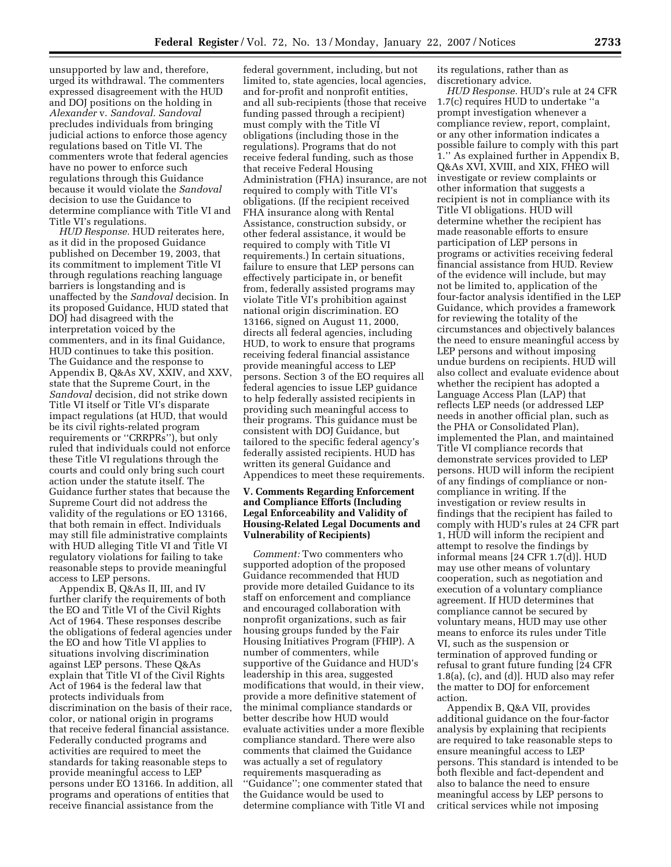unsupported by law and, therefore, urged its withdrawal. The commenters expressed disagreement with the HUD and DOJ positions on the holding in *Alexander* v. *Sandoval. Sandoval*  precludes individuals from bringing judicial actions to enforce those agency regulations based on Title VI. The commenters wrote that federal agencies have no power to enforce such regulations through this Guidance because it would violate the *Sandoval*  decision to use the Guidance to determine compliance with Title VI and Title VI's regulations.

*HUD Response.* HUD reiterates here, as it did in the proposed Guidance published on December 19, 2003, that its commitment to implement Title VI through regulations reaching language barriers is longstanding and is unaffected by the *Sandoval* decision. In its proposed Guidance, HUD stated that DOJ had disagreed with the interpretation voiced by the commenters, and in its final Guidance, HUD continues to take this position. The Guidance and the response to Appendix B, Q&As XV, XXIV, and XXV, state that the Supreme Court, in the *Sandoval* decision, did not strike down Title VI itself or Title VI's disparate impact regulations (at HUD, that would be its civil rights-related program requirements or ''CRRPRs''), but only ruled that individuals could not enforce these Title VI regulations through the courts and could only bring such court action under the statute itself. The Guidance further states that because the Supreme Court did not address the validity of the regulations or EO 13166, that both remain in effect. Individuals may still file administrative complaints with HUD alleging Title VI and Title VI regulatory violations for failing to take reasonable steps to provide meaningful access to LEP persons.

Appendix B, Q&As II, III, and IV further clarify the requirements of both the EO and Title VI of the Civil Rights Act of 1964. These responses describe the obligations of federal agencies under the EO and how Title VI applies to situations involving discrimination against LEP persons. These Q&As explain that Title VI of the Civil Rights Act of 1964 is the federal law that protects individuals from discrimination on the basis of their race, color, or national origin in programs that receive federal financial assistance. Federally conducted programs and activities are required to meet the standards for taking reasonable steps to provide meaningful access to LEP persons under EO 13166. In addition, all programs and operations of entities that receive financial assistance from the

federal government, including, but not limited to, state agencies, local agencies, and for-profit and nonprofit entities, and all sub-recipients (those that receive funding passed through a recipient) must comply with the Title VI obligations (including those in the regulations). Programs that do not receive federal funding, such as those that receive Federal Housing Administration (FHA) insurance, are not required to comply with Title VI's obligations. (If the recipient received FHA insurance along with Rental Assistance, construction subsidy, or other federal assistance, it would be required to comply with Title VI requirements.) In certain situations, failure to ensure that LEP persons can effectively participate in, or benefit from, federally assisted programs may violate Title VI's prohibition against national origin discrimination. EO 13166, signed on August 11, 2000, directs all federal agencies, including HUD, to work to ensure that programs receiving federal financial assistance provide meaningful access to LEP persons. Section 3 of the EO requires all federal agencies to issue LEP guidance to help federally assisted recipients in providing such meaningful access to their programs. This guidance must be consistent with DOJ Guidance, but tailored to the specific federal agency's federally assisted recipients. HUD has written its general Guidance and Appendices to meet these requirements.

## **V. Comments Regarding Enforcement and Compliance Efforts (Including Legal Enforceability and Validity of Housing-Related Legal Documents and Vulnerability of Recipients)**

*Comment:* Two commenters who supported adoption of the proposed Guidance recommended that HUD provide more detailed Guidance to its staff on enforcement and compliance and encouraged collaboration with nonprofit organizations, such as fair housing groups funded by the Fair Housing Initiatives Program (FHIP). A number of commenters, while supportive of the Guidance and HUD's leadership in this area, suggested modifications that would, in their view, provide a more definitive statement of the minimal compliance standards or better describe how HUD would evaluate activities under a more flexible compliance standard. There were also comments that claimed the Guidance was actually a set of regulatory requirements masquerading as ''Guidance''; one commenter stated that the Guidance would be used to determine compliance with Title VI and

its regulations, rather than as discretionary advice.

*HUD Response.* HUD's rule at 24 CFR 1.7(c) requires HUD to undertake ''a prompt investigation whenever a compliance review, report, complaint, or any other information indicates a possible failure to comply with this part 1.'' As explained further in Appendix B, Q&As XVI, XVIII, and XIX, FHEO will investigate or review complaints or other information that suggests a recipient is not in compliance with its Title VI obligations. HUD will determine whether the recipient has made reasonable efforts to ensure participation of LEP persons in programs or activities receiving federal financial assistance from HUD. Review of the evidence will include, but may not be limited to, application of the four-factor analysis identified in the LEP Guidance, which provides a framework for reviewing the totality of the circumstances and objectively balances the need to ensure meaningful access by LEP persons and without imposing undue burdens on recipients. HUD will also collect and evaluate evidence about whether the recipient has adopted a Language Access Plan (LAP) that reflects LEP needs (or addressed LEP needs in another official plan, such as the PHA or Consolidated Plan), implemented the Plan, and maintained Title VI compliance records that demonstrate services provided to LEP persons. HUD will inform the recipient of any findings of compliance or noncompliance in writing. If the investigation or review results in findings that the recipient has failed to comply with HUD's rules at 24 CFR part 1, HUD will inform the recipient and attempt to resolve the findings by informal means [24 CFR 1.7(d)]. HUD may use other means of voluntary cooperation, such as negotiation and execution of a voluntary compliance agreement. If HUD determines that compliance cannot be secured by voluntary means, HUD may use other means to enforce its rules under Title VI, such as the suspension or termination of approved funding or refusal to grant future funding [24 CFR 1.8(a), (c), and (d)]. HUD also may refer the matter to DOJ for enforcement action.

Appendix B, Q&A VII, provides additional guidance on the four-factor analysis by explaining that recipients are required to take reasonable steps to ensure meaningful access to LEP persons. This standard is intended to be both flexible and fact-dependent and also to balance the need to ensure meaningful access by LEP persons to critical services while not imposing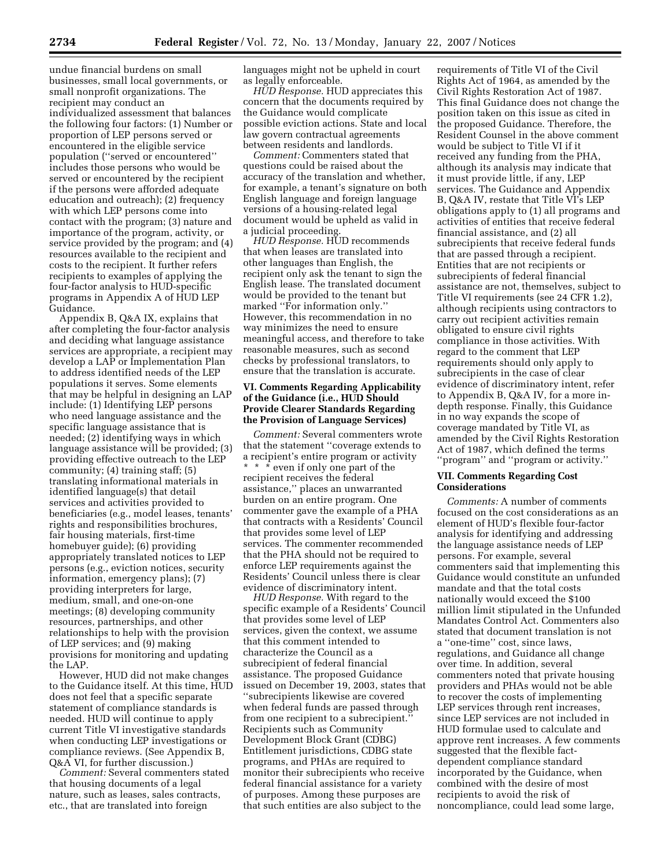undue financial burdens on small businesses, small local governments, or small nonprofit organizations. The recipient may conduct an individualized assessment that balances the following four factors: (1) Number or proportion of LEP persons served or encountered in the eligible service population (''served or encountered'' includes those persons who would be served or encountered by the recipient if the persons were afforded adequate education and outreach); (2) frequency with which LEP persons come into contact with the program; (3) nature and importance of the program, activity, or service provided by the program; and (4) resources available to the recipient and costs to the recipient. It further refers recipients to examples of applying the four-factor analysis to HUD-specific programs in Appendix A of HUD LEP Guidance.

Appendix B, Q&A IX, explains that after completing the four-factor analysis and deciding what language assistance services are appropriate, a recipient may develop a LAP or Implementation Plan to address identified needs of the LEP populations it serves. Some elements that may be helpful in designing an LAP include: (1) Identifying LEP persons who need language assistance and the specific language assistance that is needed; (2) identifying ways in which language assistance will be provided; (3) providing effective outreach to the LEP community; (4) training staff; (5) translating informational materials in identified language(s) that detail services and activities provided to beneficiaries (e.g., model leases, tenants' rights and responsibilities brochures, fair housing materials, first-time homebuyer guide); (6) providing appropriately translated notices to LEP persons (e.g., eviction notices, security information, emergency plans); (7) providing interpreters for large, medium, small, and one-on-one meetings; (8) developing community resources, partnerships, and other relationships to help with the provision of LEP services; and (9) making provisions for monitoring and updating the LAP.

However, HUD did not make changes to the Guidance itself. At this time, HUD does not feel that a specific separate statement of compliance standards is needed. HUD will continue to apply current Title VI investigative standards when conducting LEP investigations or compliance reviews. (See Appendix B, Q&A VI, for further discussion.)

*Comment:* Several commenters stated that housing documents of a legal nature, such as leases, sales contracts, etc., that are translated into foreign

languages might not be upheld in court as legally enforceable.

*HUD Response.* HUD appreciates this concern that the documents required by the Guidance would complicate possible eviction actions. State and local law govern contractual agreements between residents and landlords.

*Comment:* Commenters stated that questions could be raised about the accuracy of the translation and whether, for example, a tenant's signature on both English language and foreign language versions of a housing-related legal document would be upheld as valid in a judicial proceeding.

*HUD Response.* HUD recommends that when leases are translated into other languages than English, the recipient only ask the tenant to sign the English lease. The translated document would be provided to the tenant but marked ''For information only.'' However, this recommendation in no way minimizes the need to ensure meaningful access, and therefore to take reasonable measures, such as second checks by professional translators, to ensure that the translation is accurate.

## **VI. Comments Regarding Applicability of the Guidance (i.e., HUD Should Provide Clearer Standards Regarding the Provision of Language Services)**

*Comment:* Several commenters wrote that the statement ''coverage extends to a recipient's entire program or activity \* \* \* even if only one part of the recipient receives the federal assistance,'' places an unwarranted burden on an entire program. One commenter gave the example of a PHA that contracts with a Residents' Council that provides some level of LEP services. The commenter recommended that the PHA should not be required to enforce LEP requirements against the Residents' Council unless there is clear evidence of discriminatory intent.

*HUD Response.* With regard to the specific example of a Residents' Council that provides some level of LEP services, given the context, we assume that this comment intended to characterize the Council as a subrecipient of federal financial assistance. The proposed Guidance issued on December 19, 2003, states that ''subrecipients likewise are covered when federal funds are passed through from one recipient to a subrecipient.'' Recipients such as Community Development Block Grant (CDBG) Entitlement jurisdictions, CDBG state programs, and PHAs are required to monitor their subrecipients who receive federal financial assistance for a variety of purposes. Among these purposes are that such entities are also subject to the

requirements of Title VI of the Civil Rights Act of 1964, as amended by the Civil Rights Restoration Act of 1987. This final Guidance does not change the position taken on this issue as cited in the proposed Guidance. Therefore, the Resident Counsel in the above comment would be subject to Title VI if it received any funding from the PHA, although its analysis may indicate that it must provide little, if any, LEP services. The Guidance and Appendix B, Q&A IV, restate that Title VI's LEP obligations apply to (1) all programs and activities of entities that receive federal financial assistance, and (2) all subrecipients that receive federal funds that are passed through a recipient. Entities that are not recipients or subrecipients of federal financial assistance are not, themselves, subject to Title VI requirements (see 24 CFR 1.2), although recipients using contractors to carry out recipient activities remain obligated to ensure civil rights compliance in those activities. With regard to the comment that LEP requirements should only apply to subrecipients in the case of clear evidence of discriminatory intent, refer to Appendix B, Q&A IV, for a more indepth response. Finally, this Guidance in no way expands the scope of coverage mandated by Title VI, as amended by the Civil Rights Restoration Act of 1987, which defined the terms ''program'' and ''program or activity.''

### **VII. Comments Regarding Cost Considerations**

*Comments:* A number of comments focused on the cost considerations as an element of HUD's flexible four-factor analysis for identifying and addressing the language assistance needs of LEP persons. For example, several commenters said that implementing this Guidance would constitute an unfunded mandate and that the total costs nationally would exceed the \$100 million limit stipulated in the Unfunded Mandates Control Act. Commenters also stated that document translation is not a ''one-time'' cost, since laws, regulations, and Guidance all change over time. In addition, several commenters noted that private housing providers and PHAs would not be able to recover the costs of implementing LEP services through rent increases, since LEP services are not included in HUD formulae used to calculate and approve rent increases. A few comments suggested that the flexible factdependent compliance standard incorporated by the Guidance, when combined with the desire of most recipients to avoid the risk of noncompliance, could lead some large,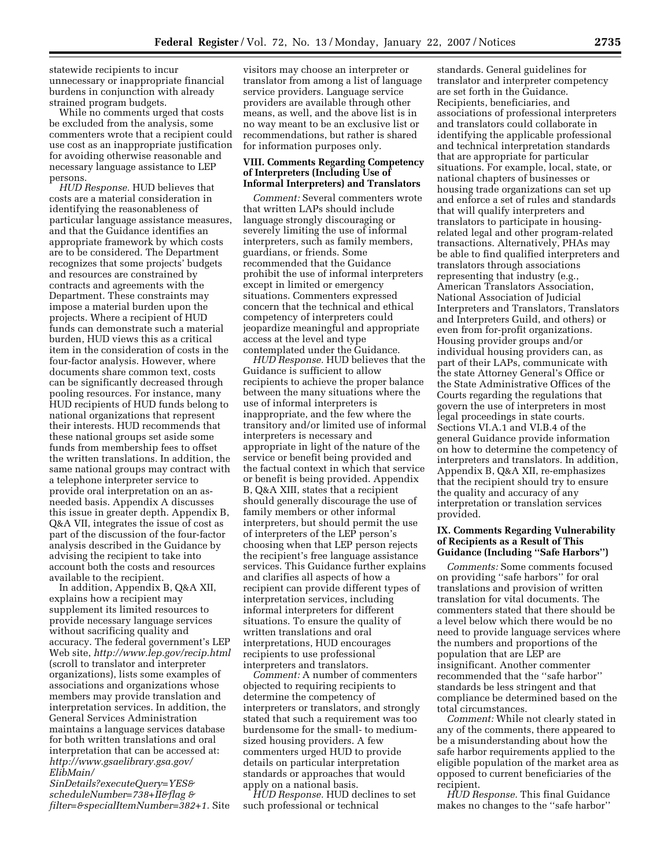statewide recipients to incur unnecessary or inappropriate financial burdens in conjunction with already strained program budgets.

While no comments urged that costs be excluded from the analysis, some commenters wrote that a recipient could use cost as an inappropriate justification for avoiding otherwise reasonable and necessary language assistance to LEP persons.

*HUD Response.* HUD believes that costs are a material consideration in identifying the reasonableness of particular language assistance measures, and that the Guidance identifies an appropriate framework by which costs are to be considered. The Department recognizes that some projects' budgets and resources are constrained by contracts and agreements with the Department. These constraints may impose a material burden upon the projects. Where a recipient of HUD funds can demonstrate such a material burden, HUD views this as a critical item in the consideration of costs in the four-factor analysis. However, where documents share common text, costs can be significantly decreased through pooling resources. For instance, many HUD recipients of HUD funds belong to national organizations that represent their interests. HUD recommends that these national groups set aside some funds from membership fees to offset the written translations. In addition, the same national groups may contract with a telephone interpreter service to provide oral interpretation on an asneeded basis. Appendix A discusses this issue in greater depth. Appendix B, Q&A VII, integrates the issue of cost as part of the discussion of the four-factor analysis described in the Guidance by advising the recipient to take into account both the costs and resources available to the recipient.

In addition, Appendix B, Q&A XII, explains how a recipient may supplement its limited resources to provide necessary language services without sacrificing quality and accuracy. The federal government's LEP Web site, *http://www.lep.gov/recip.html*  (scroll to translator and interpreter organizations), lists some examples of associations and organizations whose members may provide translation and interpretation services. In addition, the General Services Administration maintains a language services database for both written translations and oral interpretation that can be accessed at: *http://www.gsaelibrary.gsa.gov/ ElibMain/* 

*SinDetails?executeQuery=YES& scheduleNumber=738+II&flag & filter=&specialItemNumber=382+1.* Site

visitors may choose an interpreter or translator from among a list of language service providers. Language service providers are available through other means, as well, and the above list is in no way meant to be an exclusive list or recommendations, but rather is shared for information purposes only.

## **VIII. Comments Regarding Competency of Interpreters (Including Use of Informal Interpreters) and Translators**

*Comment:* Several commenters wrote that written LAPs should include language strongly discouraging or severely limiting the use of informal interpreters, such as family members, guardians, or friends. Some recommended that the Guidance prohibit the use of informal interpreters except in limited or emergency situations. Commenters expressed concern that the technical and ethical competency of interpreters could jeopardize meaningful and appropriate access at the level and type contemplated under the Guidance.

*HUD Response.* HUD believes that the Guidance is sufficient to allow recipients to achieve the proper balance between the many situations where the use of informal interpreters is inappropriate, and the few where the transitory and/or limited use of informal interpreters is necessary and appropriate in light of the nature of the service or benefit being provided and the factual context in which that service or benefit is being provided. Appendix B, Q&A XIII, states that a recipient should generally discourage the use of family members or other informal interpreters, but should permit the use of interpreters of the LEP person's choosing when that LEP person rejects the recipient's free language assistance services. This Guidance further explains and clarifies all aspects of how a recipient can provide different types of interpretation services, including informal interpreters for different situations. To ensure the quality of written translations and oral interpretations, HUD encourages recipients to use professional interpreters and translators.

*Comment:* A number of commenters objected to requiring recipients to determine the competency of interpreters or translators, and strongly stated that such a requirement was too burdensome for the small- to mediumsized housing providers. A few commenters urged HUD to provide details on particular interpretation standards or approaches that would apply on a national basis.

*HUD Response.* HUD declines to set such professional or technical

standards. General guidelines for translator and interpreter competency are set forth in the Guidance. Recipients, beneficiaries, and associations of professional interpreters and translators could collaborate in identifying the applicable professional and technical interpretation standards that are appropriate for particular situations. For example, local, state, or national chapters of businesses or housing trade organizations can set up and enforce a set of rules and standards that will qualify interpreters and translators to participate in housingrelated legal and other program-related transactions. Alternatively, PHAs may be able to find qualified interpreters and translators through associations representing that industry (e.g., American Translators Association, National Association of Judicial Interpreters and Translators, Translators and Interpreters Guild, and others) or even from for-profit organizations. Housing provider groups and/or individual housing providers can, as part of their LAPs, communicate with the state Attorney General's Office or the State Administrative Offices of the Courts regarding the regulations that govern the use of interpreters in most legal proceedings in state courts. Sections VI.A.1 and VI.B.4 of the general Guidance provide information on how to determine the competency of interpreters and translators. In addition, Appendix B, Q&A XII, re-emphasizes that the recipient should try to ensure the quality and accuracy of any interpretation or translation services provided.

## **IX. Comments Regarding Vulnerability of Recipients as a Result of This Guidance (Including ''Safe Harbors'')**

*Comments:* Some comments focused on providing ''safe harbors'' for oral translations and provision of written translation for vital documents. The commenters stated that there should be a level below which there would be no need to provide language services where the numbers and proportions of the population that are LEP are insignificant. Another commenter recommended that the ''safe harbor'' standards be less stringent and that compliance be determined based on the total circumstances.

*Comment:* While not clearly stated in any of the comments, there appeared to be a misunderstanding about how the safe harbor requirements applied to the eligible population of the market area as opposed to current beneficiaries of the recipient.

*HUD Response.* This final Guidance makes no changes to the ''safe harbor''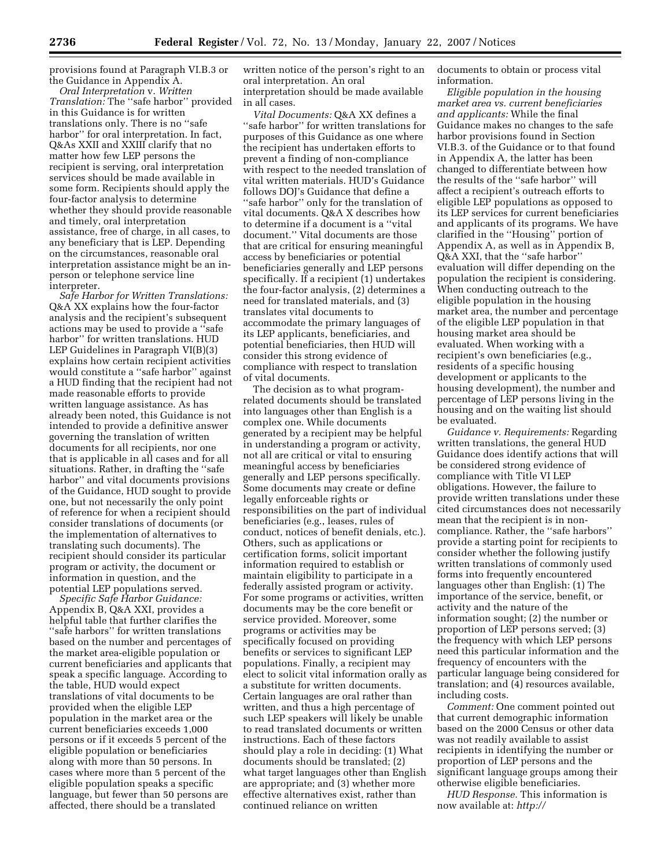provisions found at Paragraph VI.B.3 or the Guidance in Appendix A.

*Oral Interpretation* v. *Written Translation:* The ''safe harbor'' provided in this Guidance is for written translations only. There is no ''safe harbor'' for oral interpretation. In fact, Q&As XXII and XXIII clarify that no matter how few LEP persons the recipient is serving, oral interpretation services should be made available in some form. Recipients should apply the four-factor analysis to determine whether they should provide reasonable and timely, oral interpretation assistance, free of charge, in all cases, to any beneficiary that is LEP. Depending on the circumstances, reasonable oral interpretation assistance might be an inperson or telephone service line interpreter.

*Safe Harbor for Written Translations:*  Q&A XX explains how the four-factor analysis and the recipient's subsequent actions may be used to provide a ''safe harbor'' for written translations. HUD LEP Guidelines in Paragraph VI(B)(3) explains how certain recipient activities would constitute a ''safe harbor'' against a HUD finding that the recipient had not made reasonable efforts to provide written language assistance. As has already been noted, this Guidance is not intended to provide a definitive answer governing the translation of written documents for all recipients, nor one that is applicable in all cases and for all situations. Rather, in drafting the ''safe harbor'' and vital documents provisions of the Guidance, HUD sought to provide one, but not necessarily the only point of reference for when a recipient should consider translations of documents (or the implementation of alternatives to translating such documents). The recipient should consider its particular program or activity, the document or information in question, and the potential LEP populations served.

*Specific Safe Harbor Guidance:*  Appendix B, Q&A XXI, provides a helpful table that further clarifies the ''safe harbors'' for written translations based on the number and percentages of the market area-eligible population or current beneficiaries and applicants that speak a specific language. According to the table, HUD would expect translations of vital documents to be provided when the eligible LEP population in the market area or the current beneficiaries exceeds 1,000 persons or if it exceeds 5 percent of the eligible population or beneficiaries along with more than 50 persons. In cases where more than 5 percent of the eligible population speaks a specific language, but fewer than 50 persons are affected, there should be a translated

written notice of the person's right to an oral interpretation. An oral interpretation should be made available in all cases.

*Vital Documents:* Q&A XX defines a ''safe harbor'' for written translations for purposes of this Guidance as one where the recipient has undertaken efforts to prevent a finding of non-compliance with respect to the needed translation of vital written materials. HUD's Guidance follows DOJ's Guidance that define a ''safe harbor'' only for the translation of vital documents. Q&A X describes how to determine if a document is a ''vital document.'' Vital documents are those that are critical for ensuring meaningful access by beneficiaries or potential beneficiaries generally and LEP persons specifically. If a recipient (1) undertakes the four-factor analysis, (2) determines a need for translated materials, and (3) translates vital documents to accommodate the primary languages of its LEP applicants, beneficiaries, and potential beneficiaries, then HUD will consider this strong evidence of compliance with respect to translation of vital documents.

The decision as to what programrelated documents should be translated into languages other than English is a complex one. While documents generated by a recipient may be helpful in understanding a program or activity, not all are critical or vital to ensuring meaningful access by beneficiaries generally and LEP persons specifically. Some documents may create or define legally enforceable rights or responsibilities on the part of individual beneficiaries (e.g., leases, rules of conduct, notices of benefit denials, etc.). Others, such as applications or certification forms, solicit important information required to establish or maintain eligibility to participate in a federally assisted program or activity. For some programs or activities, written documents may be the core benefit or service provided. Moreover, some programs or activities may be specifically focused on providing benefits or services to significant LEP populations. Finally, a recipient may elect to solicit vital information orally as a substitute for written documents. Certain languages are oral rather than written, and thus a high percentage of such LEP speakers will likely be unable to read translated documents or written instructions. Each of these factors should play a role in deciding: (1) What documents should be translated; (2) what target languages other than English are appropriate; and (3) whether more effective alternatives exist, rather than continued reliance on written

documents to obtain or process vital information.

*Eligible population in the housing market area vs. current beneficiaries and applicants:* While the final Guidance makes no changes to the safe harbor provisions found in Section VI.B.3. of the Guidance or to that found in Appendix A, the latter has been changed to differentiate between how the results of the ''safe harbor'' will affect a recipient's outreach efforts to eligible LEP populations as opposed to its LEP services for current beneficiaries and applicants of its programs. We have clarified in the ''Housing'' portion of Appendix A, as well as in Appendix B, Q&A XXI, that the ''safe harbor'' evaluation will differ depending on the population the recipient is considering. When conducting outreach to the eligible population in the housing market area, the number and percentage of the eligible LEP population in that housing market area should be evaluated. When working with a recipient's own beneficiaries (e.g., residents of a specific housing development or applicants to the housing development), the number and percentage of LEP persons living in the housing and on the waiting list should be evaluated.

*Guidance v. Requirements:* Regarding written translations, the general HUD Guidance does identify actions that will be considered strong evidence of compliance with Title VI LEP obligations. However, the failure to provide written translations under these cited circumstances does not necessarily mean that the recipient is in noncompliance. Rather, the ''safe harbors'' provide a starting point for recipients to consider whether the following justify written translations of commonly used forms into frequently encountered languages other than English: (1) The importance of the service, benefit, or activity and the nature of the information sought; (2) the number or proportion of LEP persons served; (3) the frequency with which LEP persons need this particular information and the frequency of encounters with the particular language being considered for translation; and (4) resources available, including costs.

*Comment:* One comment pointed out that current demographic information based on the 2000 Census or other data was not readily available to assist recipients in identifying the number or proportion of LEP persons and the significant language groups among their otherwise eligible beneficiaries.

*HUD Response.* This information is now available at: *http://*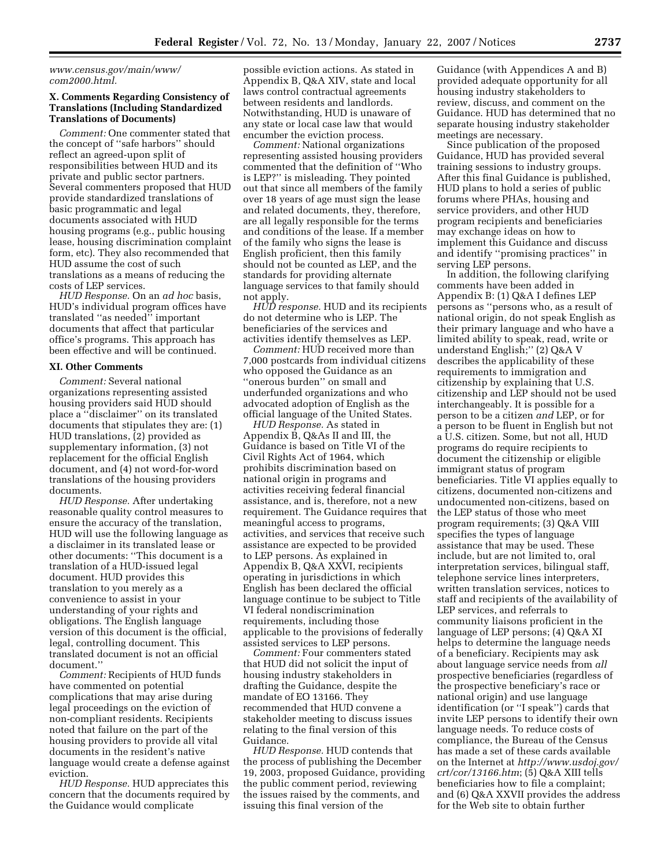*www.census.gov/main/www/ com2000.html.* 

## **X. Comments Regarding Consistency of Translations (Including Standardized Translations of Documents)**

*Comment:* One commenter stated that the concept of ''safe harbors'' should reflect an agreed-upon split of responsibilities between HUD and its private and public sector partners. Several commenters proposed that HUD provide standardized translations of basic programmatic and legal documents associated with HUD housing programs (e.g., public housing lease, housing discrimination complaint form, etc). They also recommended that HUD assume the cost of such translations as a means of reducing the costs of LEP services.

*HUD Response.* On an *ad hoc* basis, HUD's individual program offices have translated ''as needed'' important documents that affect that particular office's programs. This approach has been effective and will be continued.

### **XI. Other Comments**

*Comment:* Several national organizations representing assisted housing providers said HUD should place a ''disclaimer'' on its translated documents that stipulates they are: (1) HUD translations, (2) provided as supplementary information, (3) not replacement for the official English document, and (4) not word-for-word translations of the housing providers documents.

*HUD Response.* After undertaking reasonable quality control measures to ensure the accuracy of the translation, HUD will use the following language as a disclaimer in its translated lease or other documents: ''This document is a translation of a HUD-issued legal document. HUD provides this translation to you merely as a convenience to assist in your understanding of your rights and obligations. The English language version of this document is the official, legal, controlling document. This translated document is not an official document.''

*Comment:* Recipients of HUD funds have commented on potential complications that may arise during legal proceedings on the eviction of non-compliant residents. Recipients noted that failure on the part of the housing providers to provide all vital documents in the resident's native language would create a defense against eviction.

*HUD Response.* HUD appreciates this concern that the documents required by the Guidance would complicate

possible eviction actions. As stated in Appendix B, Q&A XIV, state and local laws control contractual agreements between residents and landlords. Notwithstanding, HUD is unaware of any state or local case law that would encumber the eviction process.

*Comment:* National organizations representing assisted housing providers commented that the definition of ''Who is LEP?'' is misleading. They pointed out that since all members of the family over 18 years of age must sign the lease and related documents, they, therefore, are all legally responsible for the terms and conditions of the lease. If a member of the family who signs the lease is English proficient, then this family should not be counted as LEP, and the standards for providing alternate language services to that family should not apply.

*HUD response.* HUD and its recipients do not determine who is LEP. The beneficiaries of the services and activities identify themselves as LEP.

*Comment:* HUD received more than 7,000 postcards from individual citizens who opposed the Guidance as an "onerous burden" on small and underfunded organizations and who advocated adoption of English as the official language of the United States.

*HUD Response.* As stated in Appendix B, Q&As II and III, the Guidance is based on Title VI of the Civil Rights Act of 1964, which prohibits discrimination based on national origin in programs and activities receiving federal financial assistance, and is, therefore, not a new requirement. The Guidance requires that meaningful access to programs, activities, and services that receive such assistance are expected to be provided to LEP persons. As explained in Appendix B, Q&A XXVI, recipients operating in jurisdictions in which English has been declared the official language continue to be subject to Title VI federal nondiscrimination requirements, including those applicable to the provisions of federally assisted services to LEP persons.

*Comment:* Four commenters stated that HUD did not solicit the input of housing industry stakeholders in drafting the Guidance, despite the mandate of EO 13166. They recommended that HUD convene a stakeholder meeting to discuss issues relating to the final version of this Guidance.

*HUD Response.* HUD contends that the process of publishing the December 19, 2003, proposed Guidance, providing the public comment period, reviewing the issues raised by the comments, and issuing this final version of the

Guidance (with Appendices A and B) provided adequate opportunity for all housing industry stakeholders to review, discuss, and comment on the Guidance. HUD has determined that no separate housing industry stakeholder meetings are necessary.

Since publication of the proposed Guidance, HUD has provided several training sessions to industry groups. After this final Guidance is published, HUD plans to hold a series of public forums where PHAs, housing and service providers, and other HUD program recipients and beneficiaries may exchange ideas on how to implement this Guidance and discuss and identify ''promising practices'' in serving LEP persons.

In addition, the following clarifying comments have been added in Appendix B: (1) Q&A I defines LEP persons as ''persons who, as a result of national origin, do not speak English as their primary language and who have a limited ability to speak, read, write or understand English;'' (2) Q&A V describes the applicability of these requirements to immigration and citizenship by explaining that U.S. citizenship and LEP should not be used interchangeably. It is possible for a person to be a citizen *and* LEP, or for a person to be fluent in English but not a U.S. citizen. Some, but not all, HUD programs do require recipients to document the citizenship or eligible immigrant status of program beneficiaries. Title VI applies equally to citizens, documented non-citizens and undocumented non-citizens, based on the LEP status of those who meet program requirements; (3) Q&A VIII specifies the types of language assistance that may be used. These include, but are not limited to, oral interpretation services, bilingual staff, telephone service lines interpreters, written translation services, notices to staff and recipients of the availability of LEP services, and referrals to community liaisons proficient in the language of LEP persons; (4) Q&A XI helps to determine the language needs of a beneficiary. Recipients may ask about language service needs from *all*  prospective beneficiaries (regardless of the prospective beneficiary's race or national origin) and use language identification (or ''I speak'') cards that invite LEP persons to identify their own language needs. To reduce costs of compliance, the Bureau of the Census has made a set of these cards available on the Internet at *http://www.usdoj.gov/ crt/cor/13166.htm*; (5) Q&A XIII tells beneficiaries how to file a complaint; and (6) Q&A XXVII provides the address for the Web site to obtain further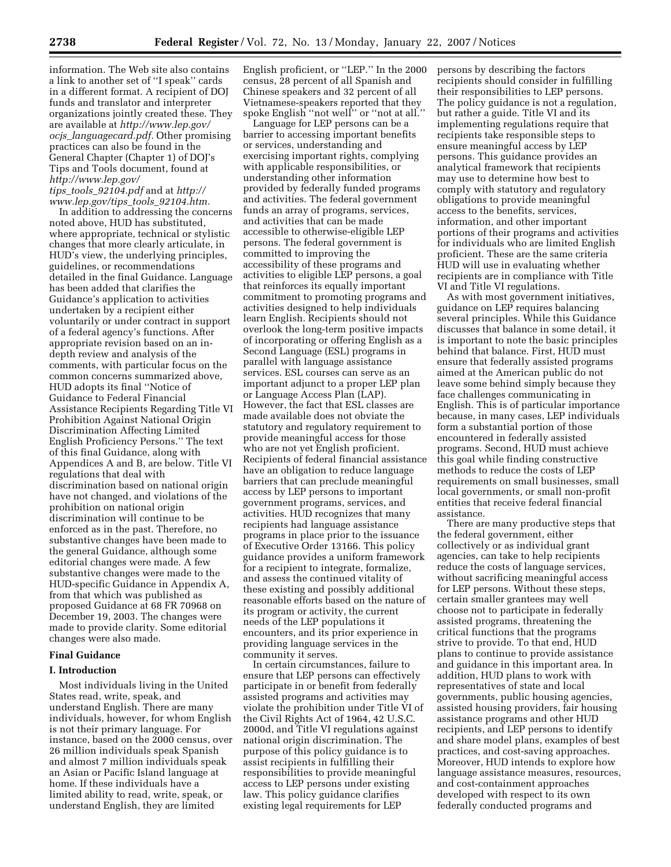information. The Web site also contains a link to another set of ''I speak'' cards in a different format. A recipient of DOJ funds and translator and interpreter organizations jointly created these. They are available at *http://www.lep.gov/ ocjs*\_*languagecard.pdf.* Other promising practices can also be found in the General Chapter (Chapter 1) of DOJ's Tips and Tools document, found at *http://www.lep.gov/ tips*\_*tools*\_*92104.pdf* and at *http://* 

*www.lep.gov/tips*\_*tools*\_*92104.htm.* 

In addition to addressing the concerns noted above, HUD has substituted, where appropriate, technical or stylistic changes that more clearly articulate, in HUD's view, the underlying principles, guidelines, or recommendations detailed in the final Guidance. Language has been added that clarifies the Guidance's application to activities undertaken by a recipient either voluntarily or under contract in support of a federal agency's functions. After appropriate revision based on an indepth review and analysis of the comments, with particular focus on the common concerns summarized above, HUD adopts its final ''Notice of Guidance to Federal Financial Assistance Recipients Regarding Title VI Prohibition Against National Origin Discrimination Affecting Limited English Proficiency Persons.'' The text of this final Guidance, along with Appendices A and B, are below. Title VI regulations that deal with discrimination based on national origin have not changed, and violations of the prohibition on national origin discrimination will continue to be enforced as in the past. Therefore, no substantive changes have been made to the general Guidance, although some editorial changes were made. A few substantive changes were made to the HUD-specific Guidance in Appendix A, from that which was published as proposed Guidance at 68 FR 70968 on December 19, 2003. The changes were made to provide clarity. Some editorial changes were also made.

## **Final Guidance**

### **I. Introduction**

Most individuals living in the United States read, write, speak, and understand English. There are many individuals, however, for whom English is not their primary language. For instance, based on the 2000 census, over 26 million individuals speak Spanish and almost 7 million individuals speak an Asian or Pacific Island language at home. If these individuals have a limited ability to read, write, speak, or understand English, they are limited

English proficient, or ''LEP.'' In the 2000 census, 28 percent of all Spanish and Chinese speakers and 32 percent of all Vietnamese-speakers reported that they spoke English ''not well'' or ''not at all.''

Language for LEP persons can be a barrier to accessing important benefits or services, understanding and exercising important rights, complying with applicable responsibilities, or understanding other information provided by federally funded programs and activities. The federal government funds an array of programs, services, and activities that can be made accessible to otherwise-eligible LEP persons. The federal government is committed to improving the accessibility of these programs and activities to eligible LEP persons, a goal that reinforces its equally important commitment to promoting programs and activities designed to help individuals learn English. Recipients should not overlook the long-term positive impacts of incorporating or offering English as a Second Language (ESL) programs in parallel with language assistance services. ESL courses can serve as an important adjunct to a proper LEP plan or Language Access Plan (LAP). However, the fact that ESL classes are made available does not obviate the statutory and regulatory requirement to provide meaningful access for those who are not yet English proficient. Recipients of federal financial assistance have an obligation to reduce language barriers that can preclude meaningful access by LEP persons to important government programs, services, and activities. HUD recognizes that many recipients had language assistance programs in place prior to the issuance of Executive Order 13166. This policy guidance provides a uniform framework for a recipient to integrate, formalize, and assess the continued vitality of these existing and possibly additional reasonable efforts based on the nature of its program or activity, the current needs of the LEP populations it encounters, and its prior experience in providing language services in the community it serves.

In certain circumstances, failure to ensure that LEP persons can effectively participate in or benefit from federally assisted programs and activities may violate the prohibition under Title VI of the Civil Rights Act of 1964, 42 U.S.C. 2000d, and Title VI regulations against national origin discrimination. The purpose of this policy guidance is to assist recipients in fulfilling their responsibilities to provide meaningful access to LEP persons under existing law. This policy guidance clarifies existing legal requirements for LEP

persons by describing the factors recipients should consider in fulfilling their responsibilities to LEP persons. The policy guidance is not a regulation, but rather a guide. Title VI and its implementing regulations require that recipients take responsible steps to ensure meaningful access by LEP persons. This guidance provides an analytical framework that recipients may use to determine how best to comply with statutory and regulatory obligations to provide meaningful access to the benefits, services, information, and other important portions of their programs and activities for individuals who are limited English proficient. These are the same criteria HUD will use in evaluating whether recipients are in compliance with Title VI and Title VI regulations.

As with most government initiatives, guidance on LEP requires balancing several principles. While this Guidance discusses that balance in some detail, it is important to note the basic principles behind that balance. First, HUD must ensure that federally assisted programs aimed at the American public do not leave some behind simply because they face challenges communicating in English. This is of particular importance because, in many cases, LEP individuals form a substantial portion of those encountered in federally assisted programs. Second, HUD must achieve this goal while finding constructive methods to reduce the costs of LEP requirements on small businesses, small local governments, or small non-profit entities that receive federal financial assistance.

There are many productive steps that the federal government, either collectively or as individual grant agencies, can take to help recipients reduce the costs of language services, without sacrificing meaningful access for LEP persons. Without these steps, certain smaller grantees may well choose not to participate in federally assisted programs, threatening the critical functions that the programs strive to provide. To that end, HUD plans to continue to provide assistance and guidance in this important area. In addition, HUD plans to work with representatives of state and local governments, public housing agencies, assisted housing providers, fair housing assistance programs and other HUD recipients, and LEP persons to identify and share model plans, examples of best practices, and cost-saving approaches. Moreover, HUD intends to explore how language assistance measures, resources, and cost-containment approaches developed with respect to its own federally conducted programs and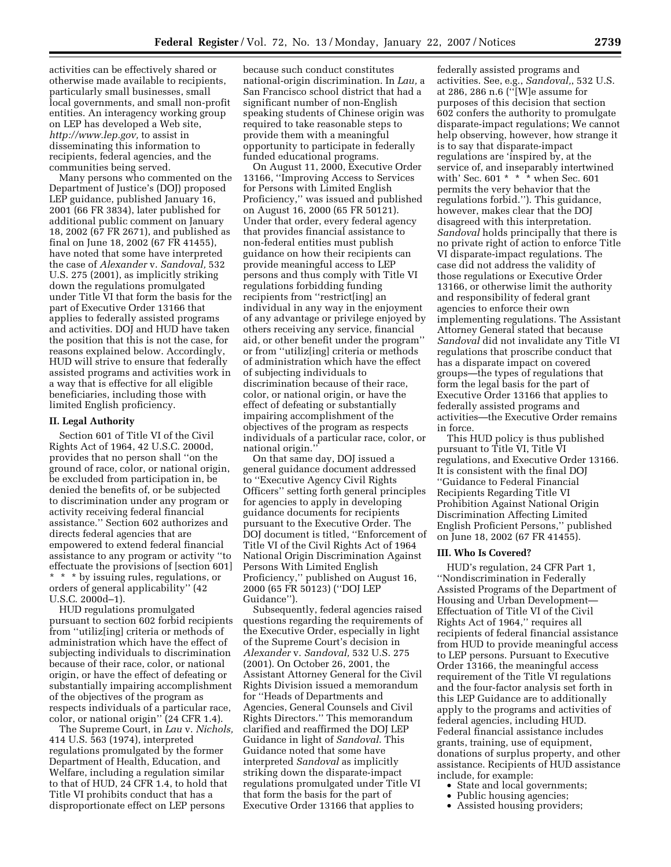activities can be effectively shared or otherwise made available to recipients, particularly small businesses, small local governments, and small non-profit entities. An interagency working group on LEP has developed a Web site, *http://www.lep.gov,* to assist in disseminating this information to recipients, federal agencies, and the communities being served.

Many persons who commented on the Department of Justice's (DOJ) proposed LEP guidance, published January 16, 2001 (66 FR 3834), later published for additional public comment on January 18, 2002 (67 FR 2671), and published as final on June 18, 2002 (67 FR 41455), have noted that some have interpreted the case of *Alexander* v. *Sandoval,* 532 U.S. 275 (2001), as implicitly striking down the regulations promulgated under Title VI that form the basis for the part of Executive Order 13166 that applies to federally assisted programs and activities. DOJ and HUD have taken the position that this is not the case, for reasons explained below. Accordingly, HUD will strive to ensure that federally assisted programs and activities work in a way that is effective for all eligible beneficiaries, including those with limited English proficiency.

### **II. Legal Authority**

Section 601 of Title VI of the Civil Rights Act of 1964, 42 U.S.C. 2000d, provides that no person shall ''on the ground of race, color, or national origin, be excluded from participation in, be denied the benefits of, or be subjected to discrimination under any program or activity receiving federal financial assistance.'' Section 602 authorizes and directs federal agencies that are empowered to extend federal financial assistance to any program or activity ''to effectuate the provisions of [section 601] \* \* \* by issuing rules, regulations, or orders of general applicability'' (42 U.S.C. 2000d–1).

HUD regulations promulgated pursuant to section 602 forbid recipients from ''utiliz[ing] criteria or methods of administration which have the effect of subjecting individuals to discrimination because of their race, color, or national origin, or have the effect of defeating or substantially impairing accomplishment of the objectives of the program as respects individuals of a particular race, color, or national origin'' (24 CFR 1.4).

The Supreme Court, in *Lau* v. *Nichols,*  414 U.S. 563 (1974), interpreted regulations promulgated by the former Department of Health, Education, and Welfare, including a regulation similar to that of HUD, 24 CFR 1.4, to hold that Title VI prohibits conduct that has a disproportionate effect on LEP persons

because such conduct constitutes national-origin discrimination. In *Lau,* a San Francisco school district that had a significant number of non-English speaking students of Chinese origin was required to take reasonable steps to provide them with a meaningful opportunity to participate in federally funded educational programs.

On August 11, 2000, Executive Order 13166, ''Improving Access to Services for Persons with Limited English Proficiency,'' was issued and published on August 16, 2000 (65 FR 50121). Under that order, every federal agency that provides financial assistance to non-federal entities must publish guidance on how their recipients can provide meaningful access to LEP persons and thus comply with Title VI regulations forbidding funding recipients from ''restrict[ing] an individual in any way in the enjoyment of any advantage or privilege enjoyed by others receiving any service, financial aid, or other benefit under the program'' or from ''utiliz[ing] criteria or methods of administration which have the effect of subjecting individuals to discrimination because of their race, color, or national origin, or have the effect of defeating or substantially impairing accomplishment of the objectives of the program as respects individuals of a particular race, color, or national origin.''

On that same day, DOJ issued a general guidance document addressed to ''Executive Agency Civil Rights Officers'' setting forth general principles for agencies to apply in developing guidance documents for recipients pursuant to the Executive Order. The DOJ document is titled, ''Enforcement of Title VI of the Civil Rights Act of 1964 National Origin Discrimination Against Persons With Limited English Proficiency,'' published on August 16, 2000 (65 FR 50123) (''DOJ LEP Guidance'').

Subsequently, federal agencies raised questions regarding the requirements of the Executive Order, especially in light of the Supreme Court's decision in *Alexander* v. *Sandoval,* 532 U.S. 275 (2001). On October 26, 2001, the Assistant Attorney General for the Civil Rights Division issued a memorandum for ''Heads of Departments and Agencies, General Counsels and Civil Rights Directors.'' This memorandum clarified and reaffirmed the DOJ LEP Guidance in light of *Sandoval*. This Guidance noted that some have interpreted *Sandoval* as implicitly striking down the disparate-impact regulations promulgated under Title VI that form the basis for the part of Executive Order 13166 that applies to

federally assisted programs and activities. See, e.g., *Sandoval,*, 532 U.S. at 286, 286 n.6 (''[W]e assume for purposes of this decision that section 602 confers the authority to promulgate disparate-impact regulations; We cannot help observing, however, how strange it is to say that disparate-impact regulations are 'inspired by, at the service of, and inseparably intertwined with' Sec. 601 \* \* \* when Sec. 601 permits the very behavior that the regulations forbid.''). This guidance, however, makes clear that the DOJ disagreed with this interpretation. *Sandoval* holds principally that there is no private right of action to enforce Title VI disparate-impact regulations. The case did not address the validity of those regulations or Executive Order 13166, or otherwise limit the authority and responsibility of federal grant agencies to enforce their own implementing regulations. The Assistant Attorney General stated that because *Sandoval* did not invalidate any Title VI regulations that proscribe conduct that has a disparate impact on covered groups—the types of regulations that form the legal basis for the part of Executive Order 13166 that applies to federally assisted programs and activities—the Executive Order remains in force.

This HUD policy is thus published pursuant to Title VI, Title VI regulations, and Executive Order 13166. It is consistent with the final DOJ ''Guidance to Federal Financial Recipients Regarding Title VI Prohibition Against National Origin Discrimination Affecting Limited English Proficient Persons,'' published on June 18, 2002 (67 FR 41455).

#### **III. Who Is Covered?**

HUD's regulation, 24 CFR Part 1, ''Nondiscrimination in Federally Assisted Programs of the Department of Housing and Urban Development— Effectuation of Title VI of the Civil Rights Act of 1964,'' requires all recipients of federal financial assistance from HUD to provide meaningful access to LEP persons. Pursuant to Executive Order 13166, the meaningful access requirement of the Title VI regulations and the four-factor analysis set forth in this LEP Guidance are to additionally apply to the programs and activities of federal agencies, including HUD. Federal financial assistance includes grants, training, use of equipment, donations of surplus property, and other assistance. Recipients of HUD assistance include, for example:

- State and local governments;
- Public housing agencies;
- Assisted housing providers;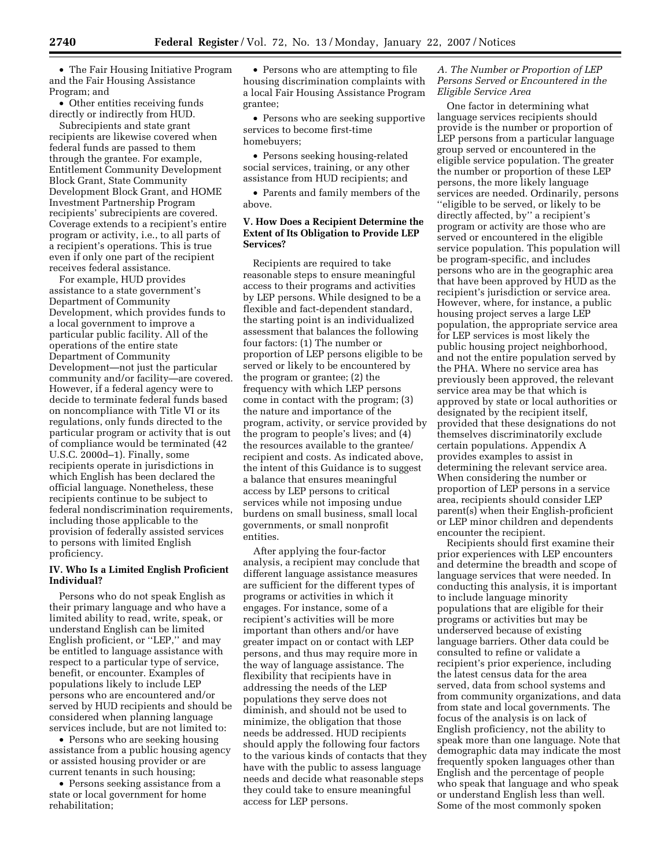• The Fair Housing Initiative Program and the Fair Housing Assistance Program; and

• Other entities receiving funds directly or indirectly from HUD.

Subrecipients and state grant recipients are likewise covered when federal funds are passed to them through the grantee. For example, Entitlement Community Development Block Grant, State Community Development Block Grant, and HOME Investment Partnership Program recipients' subrecipients are covered. Coverage extends to a recipient's entire program or activity, i.e., to all parts of a recipient's operations. This is true even if only one part of the recipient receives federal assistance.

For example, HUD provides assistance to a state government's Department of Community Development, which provides funds to a local government to improve a particular public facility. All of the operations of the entire state Department of Community Development—not just the particular community and/or facility—are covered. However, if a federal agency were to decide to terminate federal funds based on noncompliance with Title VI or its regulations, only funds directed to the particular program or activity that is out of compliance would be terminated (42 U.S.C. 2000d–1). Finally, some recipients operate in jurisdictions in which English has been declared the official language. Nonetheless, these recipients continue to be subject to federal nondiscrimination requirements, including those applicable to the provision of federally assisted services to persons with limited English proficiency.

## **IV. Who Is a Limited English Proficient Individual?**

Persons who do not speak English as their primary language and who have a limited ability to read, write, speak, or understand English can be limited English proficient, or ''LEP,'' and may be entitled to language assistance with respect to a particular type of service, benefit, or encounter. Examples of populations likely to include LEP persons who are encountered and/or served by HUD recipients and should be considered when planning language services include, but are not limited to:

• Persons who are seeking housing assistance from a public housing agency or assisted housing provider or are current tenants in such housing;

• Persons seeking assistance from a state or local government for home rehabilitation;

• Persons who are attempting to file housing discrimination complaints with a local Fair Housing Assistance Program grantee;

• Persons who are seeking supportive services to become first-time homebuyers;

• Persons seeking housing-related social services, training, or any other assistance from HUD recipients; and

• Parents and family members of the above.

# **V. How Does a Recipient Determine the Extent of Its Obligation to Provide LEP Services?**

Recipients are required to take reasonable steps to ensure meaningful access to their programs and activities by LEP persons. While designed to be a flexible and fact-dependent standard, the starting point is an individualized assessment that balances the following four factors: (1) The number or proportion of LEP persons eligible to be served or likely to be encountered by the program or grantee; (2) the frequency with which LEP persons come in contact with the program; (3) the nature and importance of the program, activity, or service provided by the program to people's lives; and (4) the resources available to the grantee/ recipient and costs. As indicated above, the intent of this Guidance is to suggest a balance that ensures meaningful access by LEP persons to critical services while not imposing undue burdens on small business, small local governments, or small nonprofit entities.

After applying the four-factor analysis, a recipient may conclude that different language assistance measures are sufficient for the different types of programs or activities in which it engages. For instance, some of a recipient's activities will be more important than others and/or have greater impact on or contact with LEP persons, and thus may require more in the way of language assistance. The flexibility that recipients have in addressing the needs of the LEP populations they serve does not diminish, and should not be used to minimize, the obligation that those needs be addressed. HUD recipients should apply the following four factors to the various kinds of contacts that they have with the public to assess language needs and decide what reasonable steps they could take to ensure meaningful access for LEP persons.

## *A. The Number or Proportion of LEP Persons Served or Encountered in the Eligible Service Area*

One factor in determining what language services recipients should provide is the number or proportion of LEP persons from a particular language group served or encountered in the eligible service population. The greater the number or proportion of these LEP persons, the more likely language services are needed. Ordinarily, persons ''eligible to be served, or likely to be directly affected, by'' a recipient's program or activity are those who are served or encountered in the eligible service population. This population will be program-specific, and includes persons who are in the geographic area that have been approved by HUD as the recipient's jurisdiction or service area. However, where, for instance, a public housing project serves a large LEP population, the appropriate service area for LEP services is most likely the public housing project neighborhood, and not the entire population served by the PHA. Where no service area has previously been approved, the relevant service area may be that which is approved by state or local authorities or designated by the recipient itself, provided that these designations do not themselves discriminatorily exclude certain populations. Appendix A provides examples to assist in determining the relevant service area. When considering the number or proportion of LEP persons in a service area, recipients should consider LEP parent(s) when their English-proficient or LEP minor children and dependents encounter the recipient.

Recipients should first examine their prior experiences with LEP encounters and determine the breadth and scope of language services that were needed. In conducting this analysis, it is important to include language minority populations that are eligible for their programs or activities but may be underserved because of existing language barriers. Other data could be consulted to refine or validate a recipient's prior experience, including the latest census data for the area served, data from school systems and from community organizations, and data from state and local governments. The focus of the analysis is on lack of English proficiency, not the ability to speak more than one language. Note that demographic data may indicate the most frequently spoken languages other than English and the percentage of people who speak that language and who speak or understand English less than well. Some of the most commonly spoken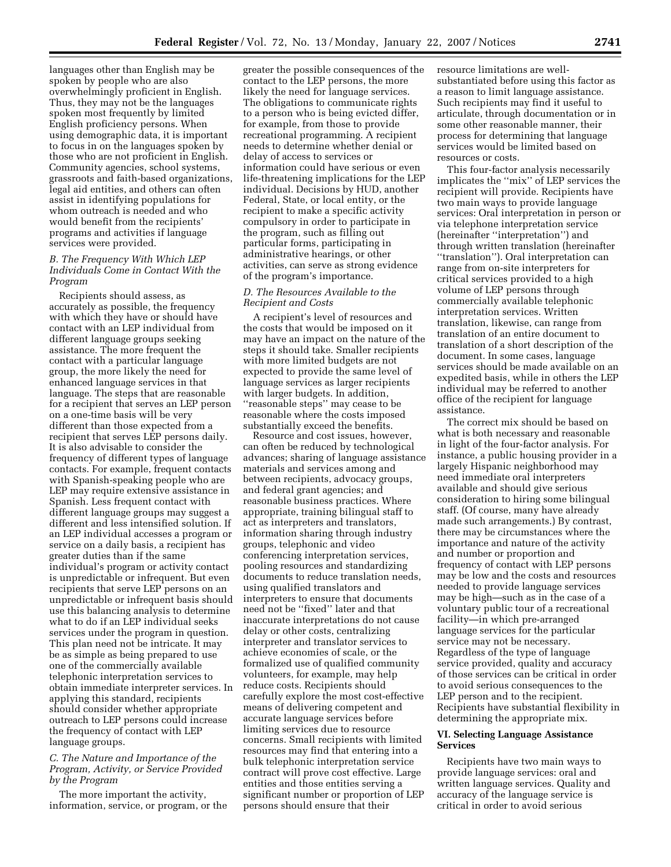languages other than English may be spoken by people who are also overwhelmingly proficient in English. Thus, they may not be the languages spoken most frequently by limited English proficiency persons. When using demographic data, it is important to focus in on the languages spoken by those who are not proficient in English. Community agencies, school systems, grassroots and faith-based organizations, legal aid entities, and others can often assist in identifying populations for whom outreach is needed and who would benefit from the recipients' programs and activities if language services were provided.

## *B. The Frequency With Which LEP Individuals Come in Contact With the Program*

Recipients should assess, as accurately as possible, the frequency with which they have or should have contact with an LEP individual from different language groups seeking assistance. The more frequent the contact with a particular language group, the more likely the need for enhanced language services in that language. The steps that are reasonable for a recipient that serves an LEP person on a one-time basis will be very different than those expected from a recipient that serves LEP persons daily. It is also advisable to consider the frequency of different types of language contacts. For example, frequent contacts with Spanish-speaking people who are LEP may require extensive assistance in Spanish. Less frequent contact with different language groups may suggest a different and less intensified solution. If an LEP individual accesses a program or service on a daily basis, a recipient has greater duties than if the same individual's program or activity contact is unpredictable or infrequent. But even recipients that serve LEP persons on an unpredictable or infrequent basis should use this balancing analysis to determine what to do if an LEP individual seeks services under the program in question. This plan need not be intricate. It may be as simple as being prepared to use one of the commercially available telephonic interpretation services to obtain immediate interpreter services. In applying this standard, recipients should consider whether appropriate outreach to LEP persons could increase the frequency of contact with LEP language groups.

## *C. The Nature and Importance of the Program, Activity, or Service Provided by the Program*

The more important the activity, information, service, or program, or the

greater the possible consequences of the contact to the LEP persons, the more likely the need for language services. The obligations to communicate rights to a person who is being evicted differ, for example, from those to provide recreational programming. A recipient needs to determine whether denial or delay of access to services or information could have serious or even life-threatening implications for the LEP individual. Decisions by HUD, another Federal, State, or local entity, or the recipient to make a specific activity compulsory in order to participate in the program, such as filling out particular forms, participating in administrative hearings, or other activities, can serve as strong evidence of the program's importance.

## *D. The Resources Available to the Recipient and Costs*

A recipient's level of resources and the costs that would be imposed on it may have an impact on the nature of the steps it should take. Smaller recipients with more limited budgets are not expected to provide the same level of language services as larger recipients with larger budgets. In addition, ''reasonable steps'' may cease to be reasonable where the costs imposed substantially exceed the benefits.

Resource and cost issues, however, can often be reduced by technological advances; sharing of language assistance materials and services among and between recipients, advocacy groups, and federal grant agencies; and reasonable business practices. Where appropriate, training bilingual staff to act as interpreters and translators, information sharing through industry groups, telephonic and video conferencing interpretation services, pooling resources and standardizing documents to reduce translation needs, using qualified translators and interpreters to ensure that documents need not be ''fixed'' later and that inaccurate interpretations do not cause delay or other costs, centralizing interpreter and translator services to achieve economies of scale, or the formalized use of qualified community volunteers, for example, may help reduce costs. Recipients should carefully explore the most cost-effective means of delivering competent and accurate language services before limiting services due to resource concerns. Small recipients with limited resources may find that entering into a bulk telephonic interpretation service contract will prove cost effective. Large entities and those entities serving a significant number or proportion of LEP persons should ensure that their

resource limitations are wellsubstantiated before using this factor as a reason to limit language assistance. Such recipients may find it useful to articulate, through documentation or in some other reasonable manner, their process for determining that language services would be limited based on resources or costs.

This four-factor analysis necessarily implicates the ''mix'' of LEP services the recipient will provide. Recipients have two main ways to provide language services: Oral interpretation in person or via telephone interpretation service (hereinafter ''interpretation'') and through written translation (hereinafter ''translation''). Oral interpretation can range from on-site interpreters for critical services provided to a high volume of LEP persons through commercially available telephonic interpretation services. Written translation, likewise, can range from translation of an entire document to translation of a short description of the document. In some cases, language services should be made available on an expedited basis, while in others the LEP individual may be referred to another office of the recipient for language assistance.

The correct mix should be based on what is both necessary and reasonable in light of the four-factor analysis. For instance, a public housing provider in a largely Hispanic neighborhood may need immediate oral interpreters available and should give serious consideration to hiring some bilingual staff. (Of course, many have already made such arrangements.) By contrast, there may be circumstances where the importance and nature of the activity and number or proportion and frequency of contact with LEP persons may be low and the costs and resources needed to provide language services may be high—such as in the case of a voluntary public tour of a recreational facility—in which pre-arranged language services for the particular service may not be necessary. Regardless of the type of language service provided, quality and accuracy of those services can be critical in order to avoid serious consequences to the LEP person and to the recipient. Recipients have substantial flexibility in determining the appropriate mix.

## **VI. Selecting Language Assistance Services**

Recipients have two main ways to provide language services: oral and written language services. Quality and accuracy of the language service is critical in order to avoid serious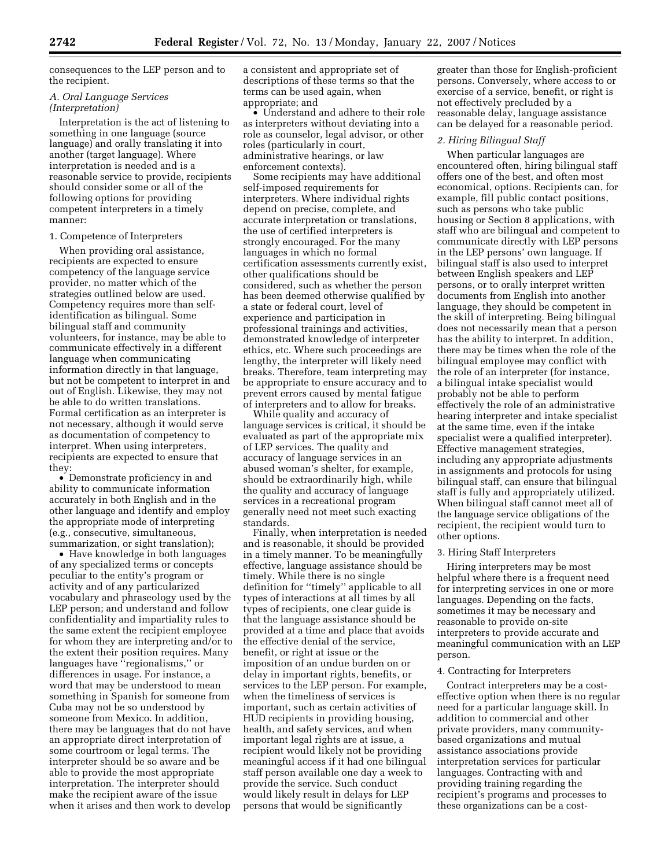consequences to the LEP person and to the recipient.

## *A. Oral Language Services (Interpretation)*

Interpretation is the act of listening to something in one language (source language) and orally translating it into another (target language). Where interpretation is needed and is a reasonable service to provide, recipients should consider some or all of the following options for providing competent interpreters in a timely manner:

### 1. Competence of Interpreters

When providing oral assistance, recipients are expected to ensure competency of the language service provider, no matter which of the strategies outlined below are used. Competency requires more than selfidentification as bilingual. Some bilingual staff and community volunteers, for instance, may be able to communicate effectively in a different language when communicating information directly in that language, but not be competent to interpret in and out of English. Likewise, they may not be able to do written translations. Formal certification as an interpreter is not necessary, although it would serve as documentation of competency to interpret. When using interpreters, recipients are expected to ensure that they:

• Demonstrate proficiency in and ability to communicate information accurately in both English and in the other language and identify and employ the appropriate mode of interpreting (e.g., consecutive, simultaneous, summarization, or sight translation);

• Have knowledge in both languages of any specialized terms or concepts peculiar to the entity's program or activity and of any particularized vocabulary and phraseology used by the LEP person; and understand and follow confidentiality and impartiality rules to the same extent the recipient employee for whom they are interpreting and/or to the extent their position requires. Many languages have ''regionalisms,'' or differences in usage. For instance, a word that may be understood to mean something in Spanish for someone from Cuba may not be so understood by someone from Mexico. In addition, there may be languages that do not have an appropriate direct interpretation of some courtroom or legal terms. The interpreter should be so aware and be able to provide the most appropriate interpretation. The interpreter should make the recipient aware of the issue when it arises and then work to develop

a consistent and appropriate set of descriptions of these terms so that the terms can be used again, when appropriate; and

• Understand and adhere to their role as interpreters without deviating into a role as counselor, legal advisor, or other roles (particularly in court, administrative hearings, or law enforcement contexts).

Some recipients may have additional self-imposed requirements for interpreters. Where individual rights depend on precise, complete, and accurate interpretation or translations, the use of certified interpreters is strongly encouraged. For the many languages in which no formal certification assessments currently exist, other qualifications should be considered, such as whether the person has been deemed otherwise qualified by a state or federal court, level of experience and participation in professional trainings and activities, demonstrated knowledge of interpreter ethics, etc. Where such proceedings are lengthy, the interpreter will likely need breaks. Therefore, team interpreting may be appropriate to ensure accuracy and to prevent errors caused by mental fatigue of interpreters and to allow for breaks.

While quality and accuracy of language services is critical, it should be evaluated as part of the appropriate mix of LEP services. The quality and accuracy of language services in an abused woman's shelter, for example, should be extraordinarily high, while the quality and accuracy of language services in a recreational program generally need not meet such exacting standards.

Finally, when interpretation is needed and is reasonable, it should be provided in a timely manner. To be meaningfully effective, language assistance should be timely. While there is no single definition for ''timely'' applicable to all types of interactions at all times by all types of recipients, one clear guide is that the language assistance should be provided at a time and place that avoids the effective denial of the service, benefit, or right at issue or the imposition of an undue burden on or delay in important rights, benefits, or services to the LEP person. For example, when the timeliness of services is important, such as certain activities of HUD recipients in providing housing, health, and safety services, and when important legal rights are at issue, a recipient would likely not be providing meaningful access if it had one bilingual staff person available one day a week to provide the service. Such conduct would likely result in delays for LEP persons that would be significantly

greater than those for English-proficient persons. Conversely, where access to or exercise of a service, benefit, or right is not effectively precluded by a reasonable delay, language assistance can be delayed for a reasonable period.

#### *2. Hiring Bilingual Staff*

When particular languages are encountered often, hiring bilingual staff offers one of the best, and often most economical, options. Recipients can, for example, fill public contact positions, such as persons who take public housing or Section 8 applications, with staff who are bilingual and competent to communicate directly with LEP persons in the LEP persons' own language. If bilingual staff is also used to interpret between English speakers and LEP persons, or to orally interpret written documents from English into another language, they should be competent in the skill of interpreting. Being bilingual does not necessarily mean that a person has the ability to interpret. In addition, there may be times when the role of the bilingual employee may conflict with the role of an interpreter (for instance, a bilingual intake specialist would probably not be able to perform effectively the role of an administrative hearing interpreter and intake specialist at the same time, even if the intake specialist were a qualified interpreter). Effective management strategies, including any appropriate adjustments in assignments and protocols for using bilingual staff, can ensure that bilingual staff is fully and appropriately utilized. When bilingual staff cannot meet all of the language service obligations of the recipient, the recipient would turn to other options.

### 3. Hiring Staff Interpreters

Hiring interpreters may be most helpful where there is a frequent need for interpreting services in one or more languages. Depending on the facts, sometimes it may be necessary and reasonable to provide on-site interpreters to provide accurate and meaningful communication with an LEP person.

# 4. Contracting for Interpreters

Contract interpreters may be a costeffective option when there is no regular need for a particular language skill. In addition to commercial and other private providers, many communitybased organizations and mutual assistance associations provide interpretation services for particular languages. Contracting with and providing training regarding the recipient's programs and processes to these organizations can be a cost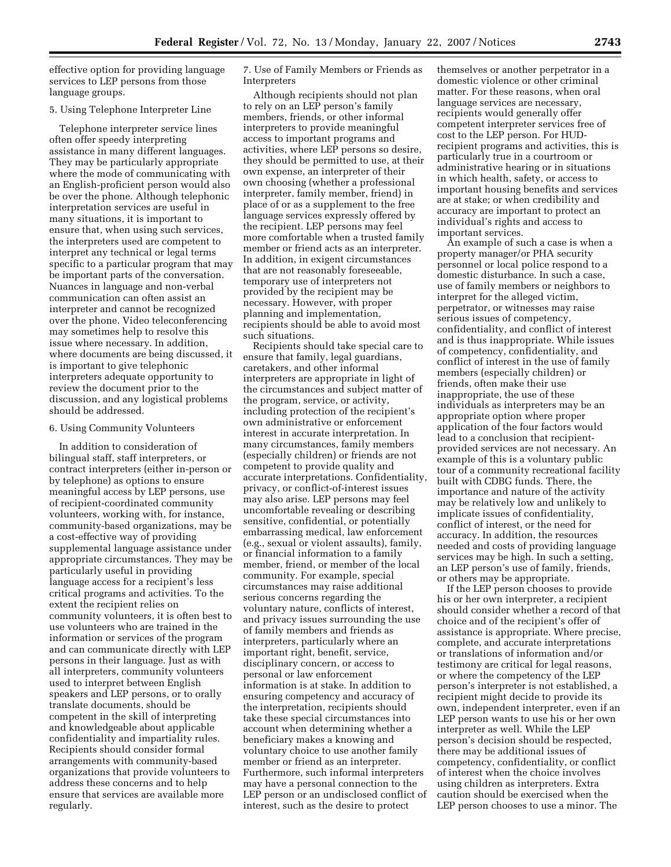effective option for providing language services to LEP persons from those language groups.

#### 5. Using Telephone Interpreter Line

Telephone interpreter service lines often offer speedy interpreting assistance in many different languages. They may be particularly appropriate where the mode of communicating with an English-proficient person would also be over the phone. Although telephonic interpretation services are useful in many situations, it is important to ensure that, when using such services, the interpreters used are competent to interpret any technical or legal terms specific to a particular program that may be important parts of the conversation. Nuances in language and non-verbal communication can often assist an interpreter and cannot be recognized over the phone. Video teleconferencing may sometimes help to resolve this issue where necessary. In addition, where documents are being discussed, it is important to give telephonic interpreters adequate opportunity to review the document prior to the discussion, and any logistical problems should be addressed.

### 6. Using Community Volunteers

In addition to consideration of bilingual staff, staff interpreters, or contract interpreters (either in-person or by telephone) as options to ensure meaningful access by LEP persons, use of recipient-coordinated community volunteers, working with, for instance, community-based organizations, may be a cost-effective way of providing supplemental language assistance under appropriate circumstances. They may be particularly useful in providing language access for a recipient's less critical programs and activities. To the extent the recipient relies on community volunteers, it is often best to use volunteers who are trained in the information or services of the program and can communicate directly with LEP persons in their language. Just as with all interpreters, community volunteers used to interpret between English speakers and LEP persons, or to orally translate documents, should be competent in the skill of interpreting and knowledgeable about applicable confidentiality and impartiality rules. Recipients should consider formal arrangements with community-based organizations that provide volunteers to address these concerns and to help ensure that services are available more regularly.

7. Use of Family Members or Friends as Interpreters

Although recipients should not plan to rely on an LEP person's family members, friends, or other informal interpreters to provide meaningful access to important programs and activities, where LEP persons so desire, they should be permitted to use, at their own expense, an interpreter of their own choosing (whether a professional interpreter, family member, friend) in place of or as a supplement to the free language services expressly offered by the recipient. LEP persons may feel more comfortable when a trusted family member or friend acts as an interpreter. In addition, in exigent circumstances that are not reasonably foreseeable, temporary use of interpreters not provided by the recipient may be necessary. However, with proper planning and implementation, recipients should be able to avoid most such situations.

Recipients should take special care to ensure that family, legal guardians, caretakers, and other informal interpreters are appropriate in light of the circumstances and subject matter of the program, service, or activity, including protection of the recipient's own administrative or enforcement interest in accurate interpretation. In many circumstances, family members (especially children) or friends are not competent to provide quality and accurate interpretations. Confidentiality, privacy, or conflict-of-interest issues may also arise. LEP persons may feel uncomfortable revealing or describing sensitive, confidential, or potentially embarrassing medical, law enforcement (e.g., sexual or violent assaults), family, or financial information to a family member, friend, or member of the local community. For example, special circumstances may raise additional serious concerns regarding the voluntary nature, conflicts of interest, and privacy issues surrounding the use of family members and friends as interpreters, particularly where an important right, benefit, service, disciplinary concern, or access to personal or law enforcement information is at stake. In addition to ensuring competency and accuracy of the interpretation, recipients should take these special circumstances into account when determining whether a beneficiary makes a knowing and voluntary choice to use another family member or friend as an interpreter. Furthermore, such informal interpreters may have a personal connection to the LEP person or an undisclosed conflict of interest, such as the desire to protect

themselves or another perpetrator in a domestic violence or other criminal matter. For these reasons, when oral language services are necessary, recipients would generally offer competent interpreter services free of cost to the LEP person. For HUDrecipient programs and activities, this is particularly true in a courtroom or administrative hearing or in situations in which health, safety, or access to important housing benefits and services are at stake; or when credibility and accuracy are important to protect an individual's rights and access to important services.

An example of such a case is when a property manager/or PHA security personnel or local police respond to a domestic disturbance. In such a case, use of family members or neighbors to interpret for the alleged victim, perpetrator, or witnesses may raise serious issues of competency, confidentiality, and conflict of interest and is thus inappropriate. While issues of competency, confidentiality, and conflict of interest in the use of family members (especially children) or friends, often make their use inappropriate, the use of these individuals as interpreters may be an appropriate option where proper application of the four factors would lead to a conclusion that recipientprovided services are not necessary. An example of this is a voluntary public tour of a community recreational facility built with CDBG funds. There, the importance and nature of the activity may be relatively low and unlikely to implicate issues of confidentiality, conflict of interest, or the need for accuracy. In addition, the resources needed and costs of providing language services may be high. In such a setting, an LEP person's use of family, friends, or others may be appropriate.

If the LEP person chooses to provide his or her own interpreter, a recipient should consider whether a record of that choice and of the recipient's offer of assistance is appropriate. Where precise, complete, and accurate interpretations or translations of information and/or testimony are critical for legal reasons, or where the competency of the LEP person's interpreter is not established, a recipient might decide to provide its own, independent interpreter, even if an LEP person wants to use his or her own interpreter as well. While the LEP person's decision should be respected, there may be additional issues of competency, confidentiality, or conflict of interest when the choice involves using children as interpreters. Extra caution should be exercised when the LEP person chooses to use a minor. The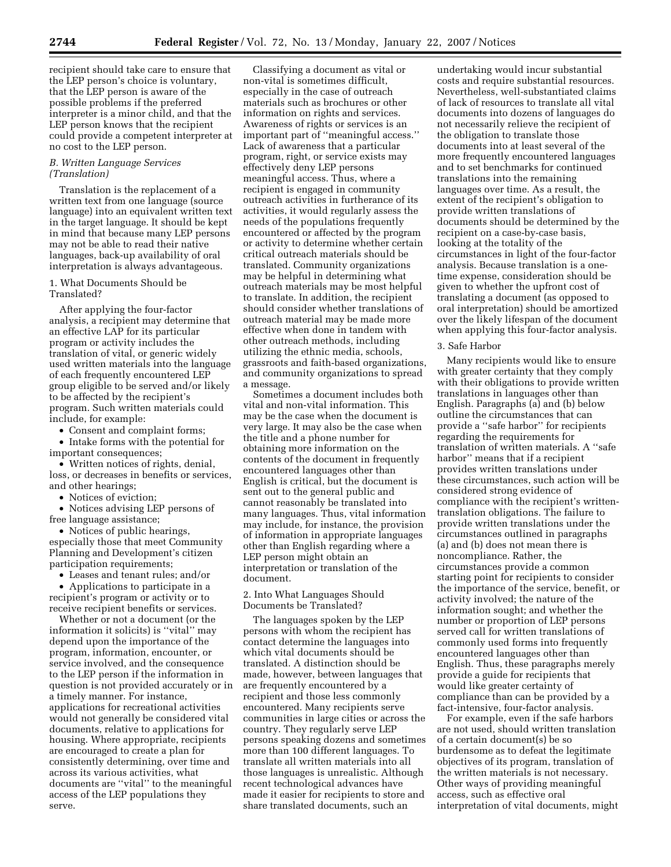recipient should take care to ensure that the LEP person's choice is voluntary, that the LEP person is aware of the possible problems if the preferred interpreter is a minor child, and that the LEP person knows that the recipient could provide a competent interpreter at no cost to the LEP person.

### *B. Written Language Services (Translation)*

Translation is the replacement of a written text from one language (source language) into an equivalent written text in the target language. It should be kept in mind that because many LEP persons may not be able to read their native languages, back-up availability of oral interpretation is always advantageous.

### 1. What Documents Should be Translated?

After applying the four-factor analysis, a recipient may determine that an effective LAP for its particular program or activity includes the translation of vital, or generic widely used written materials into the language of each frequently encountered LEP group eligible to be served and/or likely to be affected by the recipient's program. Such written materials could include, for example:

• Consent and complaint forms;

• Intake forms with the potential for important consequences;

• Written notices of rights, denial, loss, or decreases in benefits or services, and other hearings;

• Notices of eviction;

• Notices advising LEP persons of free language assistance;

• Notices of public hearings, especially those that meet Community Planning and Development's citizen participation requirements;

• Leases and tenant rules; and/or

• Applications to participate in a recipient's program or activity or to receive recipient benefits or services.

Whether or not a document (or the information it solicits) is ''vital'' may depend upon the importance of the program, information, encounter, or service involved, and the consequence to the LEP person if the information in question is not provided accurately or in a timely manner. For instance, applications for recreational activities would not generally be considered vital documents, relative to applications for housing. Where appropriate, recipients are encouraged to create a plan for consistently determining, over time and across its various activities, what documents are ''vital'' to the meaningful access of the LEP populations they serve.

Classifying a document as vital or non-vital is sometimes difficult, especially in the case of outreach materials such as brochures or other information on rights and services. Awareness of rights or services is an important part of ''meaningful access.'' Lack of awareness that a particular program, right, or service exists may effectively deny LEP persons meaningful access. Thus, where a recipient is engaged in community outreach activities in furtherance of its activities, it would regularly assess the needs of the populations frequently encountered or affected by the program or activity to determine whether certain critical outreach materials should be translated. Community organizations may be helpful in determining what outreach materials may be most helpful to translate. In addition, the recipient should consider whether translations of outreach material may be made more effective when done in tandem with other outreach methods, including utilizing the ethnic media, schools, grassroots and faith-based organizations, and community organizations to spread a message.

Sometimes a document includes both vital and non-vital information. This may be the case when the document is very large. It may also be the case when the title and a phone number for obtaining more information on the contents of the document in frequently encountered languages other than English is critical, but the document is sent out to the general public and cannot reasonably be translated into many languages. Thus, vital information may include, for instance, the provision of information in appropriate languages other than English regarding where a LEP person might obtain an interpretation or translation of the document.

2. Into What Languages Should Documents be Translated?

The languages spoken by the LEP persons with whom the recipient has contact determine the languages into which vital documents should be translated. A distinction should be made, however, between languages that are frequently encountered by a recipient and those less commonly encountered. Many recipients serve communities in large cities or across the country. They regularly serve LEP persons speaking dozens and sometimes more than 100 different languages. To translate all written materials into all those languages is unrealistic. Although recent technological advances have made it easier for recipients to store and share translated documents, such an

undertaking would incur substantial costs and require substantial resources. Nevertheless, well-substantiated claims of lack of resources to translate all vital documents into dozens of languages do not necessarily relieve the recipient of the obligation to translate those documents into at least several of the more frequently encountered languages and to set benchmarks for continued translations into the remaining languages over time. As a result, the extent of the recipient's obligation to provide written translations of documents should be determined by the recipient on a case-by-case basis, looking at the totality of the circumstances in light of the four-factor analysis. Because translation is a onetime expense, consideration should be given to whether the upfront cost of translating a document (as opposed to oral interpretation) should be amortized over the likely lifespan of the document when applying this four-factor analysis.

### 3. Safe Harbor

Many recipients would like to ensure with greater certainty that they comply with their obligations to provide written translations in languages other than English. Paragraphs (a) and (b) below outline the circumstances that can provide a ''safe harbor'' for recipients regarding the requirements for translation of written materials. A ''safe harbor'' means that if a recipient provides written translations under these circumstances, such action will be considered strong evidence of compliance with the recipient's writtentranslation obligations. The failure to provide written translations under the circumstances outlined in paragraphs (a) and (b) does not mean there is noncompliance. Rather, the circumstances provide a common starting point for recipients to consider the importance of the service, benefit, or activity involved; the nature of the information sought; and whether the number or proportion of LEP persons served call for written translations of commonly used forms into frequently encountered languages other than English. Thus, these paragraphs merely provide a guide for recipients that would like greater certainty of compliance than can be provided by a fact-intensive, four-factor analysis.

For example, even if the safe harbors are not used, should written translation of a certain document(s) be so burdensome as to defeat the legitimate objectives of its program, translation of the written materials is not necessary. Other ways of providing meaningful access, such as effective oral interpretation of vital documents, might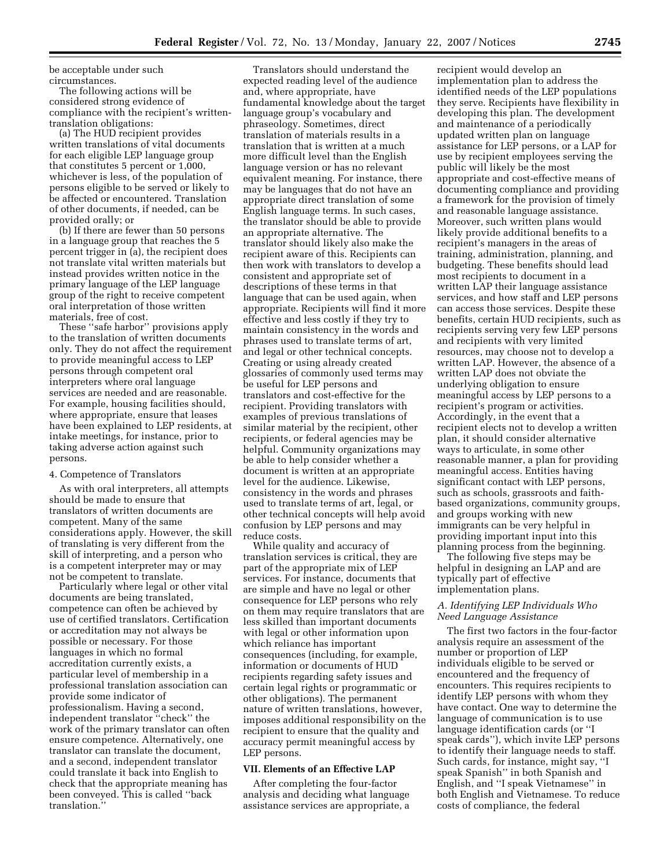be acceptable under such circumstances.

The following actions will be considered strong evidence of compliance with the recipient's writtentranslation obligations:

(a) The HUD recipient provides written translations of vital documents for each eligible LEP language group that constitutes 5 percent or 1,000, whichever is less, of the population of persons eligible to be served or likely to be affected or encountered. Translation of other documents, if needed, can be provided orally; or

(b) If there are fewer than 50 persons in a language group that reaches the 5 percent trigger in (a), the recipient does not translate vital written materials but instead provides written notice in the primary language of the LEP language group of the right to receive competent oral interpretation of those written materials, free of cost.

These ''safe harbor'' provisions apply to the translation of written documents only. They do not affect the requirement to provide meaningful access to LEP persons through competent oral interpreters where oral language services are needed and are reasonable. For example, housing facilities should, where appropriate, ensure that leases have been explained to LEP residents, at intake meetings, for instance, prior to taking adverse action against such persons.

## 4. Competence of Translators

As with oral interpreters, all attempts should be made to ensure that translators of written documents are competent. Many of the same considerations apply. However, the skill of translating is very different from the skill of interpreting, and a person who is a competent interpreter may or may not be competent to translate.

Particularly where legal or other vital documents are being translated, competence can often be achieved by use of certified translators. Certification or accreditation may not always be possible or necessary. For those languages in which no formal accreditation currently exists, a particular level of membership in a professional translation association can provide some indicator of professionalism. Having a second, independent translator ''check'' the work of the primary translator can often ensure competence. Alternatively, one translator can translate the document, and a second, independent translator could translate it back into English to check that the appropriate meaning has been conveyed. This is called ''back translation.''

Translators should understand the expected reading level of the audience and, where appropriate, have fundamental knowledge about the target language group's vocabulary and phraseology. Sometimes, direct translation of materials results in a translation that is written at a much more difficult level than the English language version or has no relevant equivalent meaning. For instance, there may be languages that do not have an appropriate direct translation of some English language terms. In such cases, the translator should be able to provide an appropriate alternative. The translator should likely also make the recipient aware of this. Recipients can then work with translators to develop a consistent and appropriate set of descriptions of these terms in that language that can be used again, when appropriate. Recipients will find it more effective and less costly if they try to maintain consistency in the words and phrases used to translate terms of art, and legal or other technical concepts. Creating or using already created glossaries of commonly used terms may be useful for LEP persons and translators and cost-effective for the recipient. Providing translators with examples of previous translations of similar material by the recipient, other recipients, or federal agencies may be helpful. Community organizations may be able to help consider whether a document is written at an appropriate level for the audience. Likewise, consistency in the words and phrases used to translate terms of art, legal, or other technical concepts will help avoid confusion by LEP persons and may reduce costs.

While quality and accuracy of translation services is critical, they are part of the appropriate mix of LEP services. For instance, documents that are simple and have no legal or other consequence for LEP persons who rely on them may require translators that are less skilled than important documents with legal or other information upon which reliance has important consequences (including, for example, information or documents of HUD recipients regarding safety issues and certain legal rights or programmatic or other obligations). The permanent nature of written translations, however, imposes additional responsibility on the recipient to ensure that the quality and accuracy permit meaningful access by LEP persons.

## **VII. Elements of an Effective LAP**

After completing the four-factor analysis and deciding what language assistance services are appropriate, a recipient would develop an implementation plan to address the identified needs of the LEP populations they serve. Recipients have flexibility in developing this plan. The development and maintenance of a periodically updated written plan on language assistance for LEP persons, or a LAP for use by recipient employees serving the public will likely be the most appropriate and cost-effective means of documenting compliance and providing a framework for the provision of timely and reasonable language assistance. Moreover, such written plans would likely provide additional benefits to a recipient's managers in the areas of training, administration, planning, and budgeting. These benefits should lead most recipients to document in a written LAP their language assistance services, and how staff and LEP persons can access those services. Despite these benefits, certain HUD recipients, such as recipients serving very few LEP persons and recipients with very limited resources, may choose not to develop a written LAP. However, the absence of a written LAP does not obviate the underlying obligation to ensure meaningful access by LEP persons to a recipient's program or activities. Accordingly, in the event that a recipient elects not to develop a written plan, it should consider alternative ways to articulate, in some other reasonable manner, a plan for providing meaningful access. Entities having significant contact with LEP persons, such as schools, grassroots and faithbased organizations, community groups, and groups working with new immigrants can be very helpful in providing important input into this planning process from the beginning.

The following five steps may be helpful in designing an LAP and are typically part of effective implementation plans.

## *A. Identifying LEP Individuals Who Need Language Assistance*

The first two factors in the four-factor analysis require an assessment of the number or proportion of LEP individuals eligible to be served or encountered and the frequency of encounters. This requires recipients to identify LEP persons with whom they have contact. One way to determine the language of communication is to use language identification cards (or ''I speak cards''), which invite LEP persons to identify their language needs to staff. Such cards, for instance, might say, ''I speak Spanish'' in both Spanish and English, and ''I speak Vietnamese'' in both English and Vietnamese. To reduce costs of compliance, the federal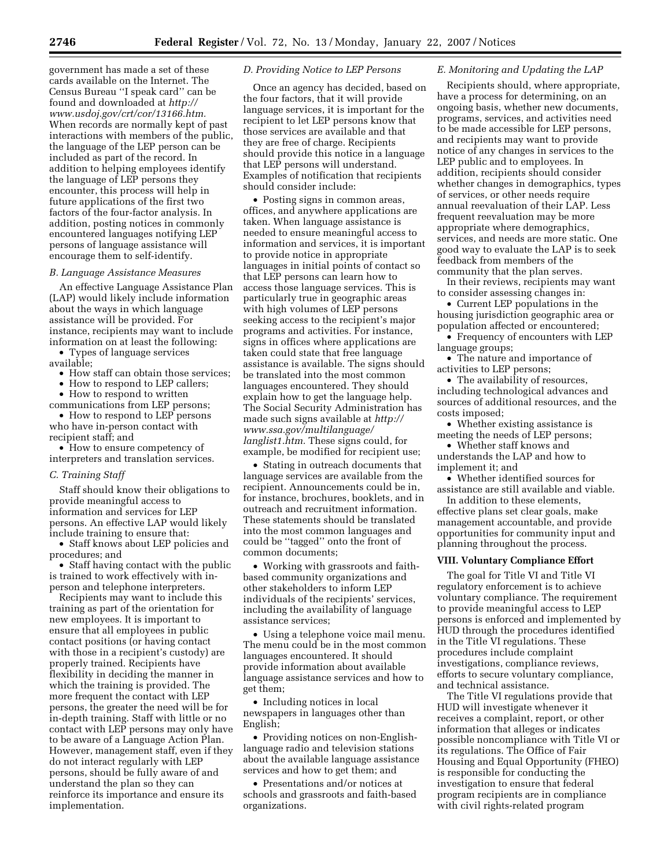government has made a set of these cards available on the Internet. The Census Bureau ''I speak card'' can be found and downloaded at *http:// www.usdoj.gov/crt/cor/13166.htm.*  When records are normally kept of past interactions with members of the public, the language of the LEP person can be included as part of the record. In addition to helping employees identify the language of LEP persons they encounter, this process will help in future applications of the first two factors of the four-factor analysis. In addition, posting notices in commonly encountered languages notifying LEP persons of language assistance will encourage them to self-identify.

#### *B. Language Assistance Measures*

An effective Language Assistance Plan (LAP) would likely include information about the ways in which language assistance will be provided. For instance, recipients may want to include information on at least the following:

• Types of language services available;

• How staff can obtain those services;

• How to respond to LEP callers;

• How to respond to written communications from LEP persons;

• How to respond to LEP persons who have in-person contact with recipient staff; and

• How to ensure competency of interpreters and translation services.

#### *C. Training Staff*

Staff should know their obligations to provide meaningful access to information and services for LEP persons. An effective LAP would likely include training to ensure that:

• Staff knows about LEP policies and procedures; and

• Staff having contact with the public is trained to work effectively with inperson and telephone interpreters.

Recipients may want to include this training as part of the orientation for new employees. It is important to ensure that all employees in public contact positions (or having contact with those in a recipient's custody) are properly trained. Recipients have flexibility in deciding the manner in which the training is provided. The more frequent the contact with LEP persons, the greater the need will be for in-depth training. Staff with little or no contact with LEP persons may only have to be aware of a Language Action Plan. However, management staff, even if they do not interact regularly with LEP persons, should be fully aware of and understand the plan so they can reinforce its importance and ensure its implementation.

### *D. Providing Notice to LEP Persons*

Once an agency has decided, based on the four factors, that it will provide language services, it is important for the recipient to let LEP persons know that those services are available and that they are free of charge. Recipients should provide this notice in a language that LEP persons will understand. Examples of notification that recipients should consider include:

• Posting signs in common areas, offices, and anywhere applications are taken. When language assistance is needed to ensure meaningful access to information and services, it is important to provide notice in appropriate languages in initial points of contact so that LEP persons can learn how to access those language services. This is particularly true in geographic areas with high volumes of LEP persons seeking access to the recipient's major programs and activities. For instance, signs in offices where applications are taken could state that free language assistance is available. The signs should be translated into the most common languages encountered. They should explain how to get the language help. The Social Security Administration has made such signs available at *http:// www.ssa.gov/multilanguage/ langlist1.htm.* These signs could, for example, be modified for recipient use;

• Stating in outreach documents that language services are available from the recipient. Announcements could be in, for instance, brochures, booklets, and in outreach and recruitment information. These statements should be translated into the most common languages and could be ''tagged'' onto the front of common documents;

• Working with grassroots and faithbased community organizations and other stakeholders to inform LEP individuals of the recipients' services, including the availability of language assistance services;

• Using a telephone voice mail menu. The menu could be in the most common languages encountered. It should provide information about available language assistance services and how to get them;

• Including notices in local newspapers in languages other than English;

• Providing notices on non-Englishlanguage radio and television stations about the available language assistance services and how to get them; and

• Presentations and/or notices at schools and grassroots and faith-based organizations.

## *E. Monitoring and Updating the LAP*

Recipients should, where appropriate, have a process for determining, on an ongoing basis, whether new documents, programs, services, and activities need to be made accessible for LEP persons, and recipients may want to provide notice of any changes in services to the LEP public and to employees. In addition, recipients should consider whether changes in demographics, types of services, or other needs require annual reevaluation of their LAP. Less frequent reevaluation may be more appropriate where demographics, services, and needs are more static. One good way to evaluate the LAP is to seek feedback from members of the community that the plan serves.

In their reviews, recipients may want to consider assessing changes in:

• Current LEP populations in the housing jurisdiction geographic area or population affected or encountered;

• Frequency of encounters with LEP language groups;

• The nature and importance of activities to LEP persons;

• The availability of resources, including technological advances and sources of additional resources, and the costs imposed;

• Whether existing assistance is meeting the needs of LEP persons;

• Whether staff knows and understands the LAP and how to implement it; and

• Whether identified sources for

assistance are still available and viable. In addition to these elements,

effective plans set clear goals, make management accountable, and provide opportunities for community input and planning throughout the process.

### **VIII. Voluntary Compliance Effort**

The goal for Title VI and Title VI regulatory enforcement is to achieve voluntary compliance. The requirement to provide meaningful access to LEP persons is enforced and implemented by HUD through the procedures identified in the Title VI regulations. These procedures include complaint investigations, compliance reviews, efforts to secure voluntary compliance, and technical assistance.

The Title VI regulations provide that HUD will investigate whenever it receives a complaint, report, or other information that alleges or indicates possible noncompliance with Title VI or its regulations. The Office of Fair Housing and Equal Opportunity (FHEO) is responsible for conducting the investigation to ensure that federal program recipients are in compliance with civil rights-related program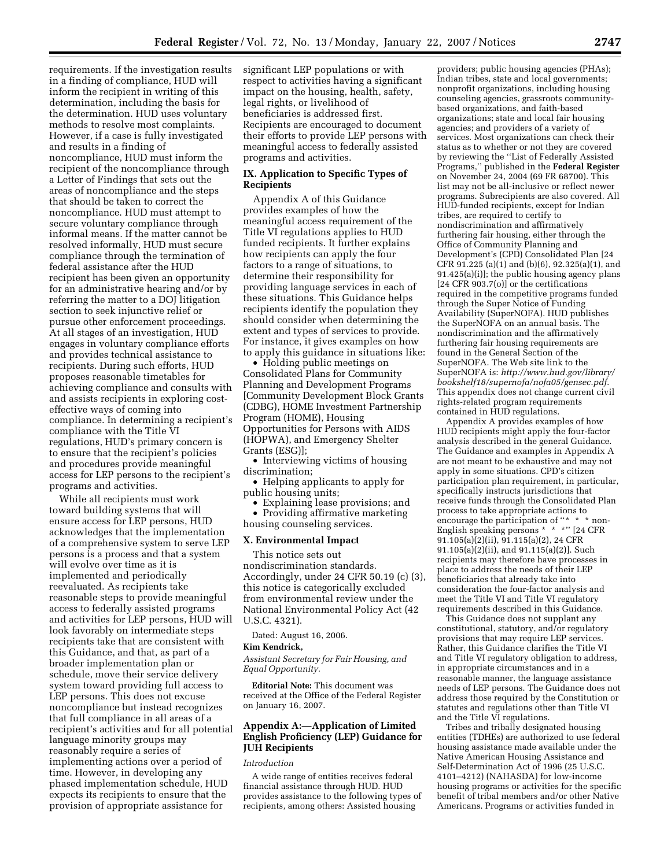requirements. If the investigation results in a finding of compliance, HUD will inform the recipient in writing of this determination, including the basis for the determination. HUD uses voluntary methods to resolve most complaints. However, if a case is fully investigated and results in a finding of noncompliance, HUD must inform the recipient of the noncompliance through a Letter of Findings that sets out the areas of noncompliance and the steps that should be taken to correct the noncompliance. HUD must attempt to secure voluntary compliance through informal means. If the matter cannot be resolved informally, HUD must secure compliance through the termination of federal assistance after the HUD recipient has been given an opportunity for an administrative hearing and/or by referring the matter to a DOJ litigation section to seek injunctive relief or pursue other enforcement proceedings. At all stages of an investigation, HUD engages in voluntary compliance efforts and provides technical assistance to recipients. During such efforts, HUD proposes reasonable timetables for achieving compliance and consults with and assists recipients in exploring costeffective ways of coming into compliance. In determining a recipient's compliance with the Title VI regulations, HUD's primary concern is to ensure that the recipient's policies and procedures provide meaningful access for LEP persons to the recipient's programs and activities.

While all recipients must work toward building systems that will ensure access for LEP persons, HUD acknowledges that the implementation of a comprehensive system to serve LEP persons is a process and that a system will evolve over time as it is implemented and periodically reevaluated. As recipients take reasonable steps to provide meaningful access to federally assisted programs and activities for LEP persons, HUD will look favorably on intermediate steps recipients take that are consistent with this Guidance, and that, as part of a broader implementation plan or schedule, move their service delivery system toward providing full access to LEP persons. This does not excuse noncompliance but instead recognizes that full compliance in all areas of a recipient's activities and for all potential language minority groups may reasonably require a series of implementing actions over a period of time. However, in developing any phased implementation schedule, HUD expects its recipients to ensure that the provision of appropriate assistance for

significant LEP populations or with respect to activities having a significant impact on the housing, health, safety, legal rights, or livelihood of beneficiaries is addressed first. Recipients are encouraged to document their efforts to provide LEP persons with meaningful access to federally assisted programs and activities.

## **IX. Application to Specific Types of Recipients**

Appendix A of this Guidance provides examples of how the meaningful access requirement of the Title VI regulations applies to HUD funded recipients. It further explains how recipients can apply the four factors to a range of situations, to determine their responsibility for providing language services in each of these situations. This Guidance helps recipients identify the population they should consider when determining the extent and types of services to provide. For instance, it gives examples on how to apply this guidance in situations like:

• Holding public meetings on Consolidated Plans for Community Planning and Development Programs [Community Development Block Grants (CDBG), HOME Investment Partnership Program (HOME), Housing Opportunities for Persons with AIDS (HOPWA), and Emergency Shelter Grants (ESG)];

• Interviewing victims of housing discrimination;

• Helping applicants to apply for public housing units;

• Explaining lease provisions; and • Providing affirmative marketing housing counseling services.

## **X. Environmental Impact**

This notice sets out nondiscrimination standards. Accordingly, under 24 CFR 50.19 (c) (3), this notice is categorically excluded from environmental review under the National Environmental Policy Act (42 U.S.C. 4321).

Dated: August 16, 2006.

#### **Kim Kendrick,**

*Assistant Secretary for Fair Housing, and Equal Opportunity.* 

**Editorial Note:** This document was received at the Office of the Federal Register on January 16, 2007.

## **Appendix A:—Application of Limited English Proficiency (LEP) Guidance for JUH Recipients**

## *Introduction*

A wide range of entities receives federal financial assistance through HUD. HUD provides assistance to the following types of recipients, among others: Assisted housing

providers; public housing agencies (PHAs); Indian tribes, state and local governments; nonprofit organizations, including housing counseling agencies, grassroots communitybased organizations, and faith-based organizations; state and local fair housing agencies; and providers of a variety of services. Most organizations can check their status as to whether or not they are covered by reviewing the ''List of Federally Assisted Programs,'' published in the **Federal Register**  on November 24, 2004 (69 FR 68700). This list may not be all-inclusive or reflect newer programs. Subrecipients are also covered. All HUD-funded recipients, except for Indian tribes, are required to certify to nondiscrimination and affirmatively furthering fair housing, either through the Office of Community Planning and Development's (CPD) Consolidated Plan [24 CFR 91.225 (a)(1) and (b)(6), 92.325(a)(1), and 91.425(a)(i)]; the public housing agency plans [24 CFR 903.7(o)] or the certifications required in the competitive programs funded through the Super Notice of Funding Availability (SuperNOFA). HUD publishes the SuperNOFA on an annual basis. The nondiscrimination and the affirmatively furthering fair housing requirements are found in the General Section of the SuperNOFA. The Web site link to the SuperNOFA is: *http://www.hud.gov/library/ bookshelf18/supernofa/nofa05/gensec.pdf.*  This appendix does not change current civil rights-related program requirements contained in HUD regulations.

Appendix A provides examples of how HUD recipients might apply the four-factor analysis described in the general Guidance. The Guidance and examples in Appendix A are not meant to be exhaustive and may not apply in some situations. CPD's citizen participation plan requirement, in particular, specifically instructs jurisdictions that receive funds through the Consolidated Plan process to take appropriate actions to encourage the participation of "\* \* \* non-English speaking persons \* \* \*" [24 CFR 91.105(a)(2)(ii), 91.115(a)(2), 24 CFR 91.105(a)(2)(ii), and 91.115(a)(2)]. Such recipients may therefore have processes in place to address the needs of their LEP beneficiaries that already take into consideration the four-factor analysis and meet the Title VI and Title VI regulatory requirements described in this Guidance.

This Guidance does not supplant any constitutional, statutory, and/or regulatory provisions that may require LEP services. Rather, this Guidance clarifies the Title VI and Title VI regulatory obligation to address, in appropriate circumstances and in a reasonable manner, the language assistance needs of LEP persons. The Guidance does not address those required by the Constitution or statutes and regulations other than Title VI and the Title VI regulations.

Tribes and tribally designated housing entities (TDHEs) are authorized to use federal housing assistance made available under the Native American Housing Assistance and Self-Determination Act of 1996 (25 U.S.C. 4101–4212) (NAHASDA) for low-income housing programs or activities for the specific benefit of tribal members and/or other Native Americans. Programs or activities funded in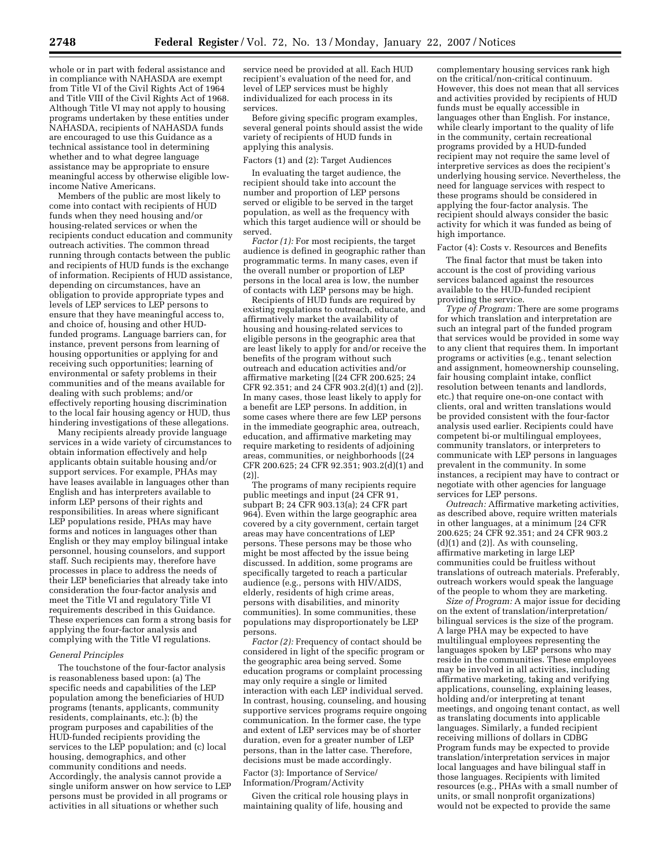whole or in part with federal assistance and in compliance with NAHASDA are exempt from Title VI of the Civil Rights Act of 1964 and Title VIII of the Civil Rights Act of 1968. Although Title VI may not apply to housing programs undertaken by these entities under NAHASDA, recipients of NAHASDA funds are encouraged to use this Guidance as a technical assistance tool in determining whether and to what degree language assistance may be appropriate to ensure meaningful access by otherwise eligible lowincome Native Americans.

Members of the public are most likely to come into contact with recipients of HUD funds when they need housing and/or housing-related services or when the recipients conduct education and community outreach activities. The common thread running through contacts between the public and recipients of HUD funds is the exchange of information. Recipients of HUD assistance, depending on circumstances, have an obligation to provide appropriate types and levels of LEP services to LEP persons to ensure that they have meaningful access to, and choice of, housing and other HUDfunded programs. Language barriers can, for instance, prevent persons from learning of housing opportunities or applying for and receiving such opportunities; learning of environmental or safety problems in their communities and of the means available for dealing with such problems; and/or effectively reporting housing discrimination to the local fair housing agency or HUD, thus hindering investigations of these allegations.

Many recipients already provide language services in a wide variety of circumstances to obtain information effectively and help applicants obtain suitable housing and/or support services. For example, PHAs may have leases available in languages other than English and has interpreters available to inform LEP persons of their rights and responsibilities. In areas where significant LEP populations reside, PHAs may have forms and notices in languages other than English or they may employ bilingual intake personnel, housing counselors, and support staff. Such recipients may, therefore have processes in place to address the needs of their LEP beneficiaries that already take into consideration the four-factor analysis and meet the Title VI and regulatory Title VI requirements described in this Guidance. These experiences can form a strong basis for applying the four-factor analysis and complying with the Title VI regulations.

#### *General Principles*

The touchstone of the four-factor analysis is reasonableness based upon: (a) The specific needs and capabilities of the LEP population among the beneficiaries of HUD programs (tenants, applicants, community residents, complainants, etc.); (b) the program purposes and capabilities of the HUD-funded recipients providing the services to the LEP population; and (c) local housing, demographics, and other community conditions and needs. Accordingly, the analysis cannot provide a single uniform answer on how service to LEP persons must be provided in all programs or activities in all situations or whether such

service need be provided at all. Each HUD recipient's evaluation of the need for, and level of LEP services must be highly individualized for each process in its services.

Before giving specific program examples, several general points should assist the wide variety of recipients of HUD funds in applying this analysis.

### Factors (1) and (2): Target Audiences

In evaluating the target audience, the recipient should take into account the number and proportion of LEP persons served or eligible to be served in the target population, as well as the frequency with which this target audience will or should be served.

*Factor (1):* For most recipients, the target audience is defined in geographic rather than programmatic terms. In many cases, even if the overall number or proportion of LEP persons in the local area is low, the number of contacts with LEP persons may be high.

Recipients of HUD funds are required by existing regulations to outreach, educate, and affirmatively market the availability of housing and housing-related services to eligible persons in the geographic area that are least likely to apply for and/or receive the benefits of the program without such outreach and education activities and/or affirmative marketing [(24 CFR 200.625; 24 CFR 92.351; and 24 CFR 903.2(d)(1) and (2)]. In many cases, those least likely to apply for a benefit are LEP persons. In addition, in some cases where there are few LEP persons in the immediate geographic area, outreach, education, and affirmative marketing may require marketing to residents of adjoining areas, communities, or neighborhoods [(24 CFR 200.625; 24 CFR 92.351; 903.2(d)(1) and (2)].

The programs of many recipients require public meetings and input (24 CFR 91, subpart B; 24 CFR 903.13(a); 24 CFR part 964). Even within the large geographic area covered by a city government, certain target areas may have concentrations of LEP persons. These persons may be those who might be most affected by the issue being discussed. In addition, some programs are specifically targeted to reach a particular audience (e.g., persons with HIV/AIDS, elderly, residents of high crime areas, persons with disabilities, and minority communities). In some communities, these populations may disproportionately be LEP persons.

*Factor (2):* Frequency of contact should be considered in light of the specific program or the geographic area being served. Some education programs or complaint processing may only require a single or limited interaction with each LEP individual served. In contrast, housing, counseling, and housing supportive services programs require ongoing communication. In the former case, the type and extent of LEP services may be of shorter duration, even for a greater number of LEP persons, than in the latter case. Therefore, decisions must be made accordingly.

### Factor (3): Importance of Service/ Information/Program/Activity

Given the critical role housing plays in maintaining quality of life, housing and

complementary housing services rank high on the critical/non-critical continuum. However, this does not mean that all services and activities provided by recipients of HUD funds must be equally accessible in languages other than English. For instance, while clearly important to the quality of life in the community, certain recreational programs provided by a HUD-funded recipient may not require the same level of interpretive services as does the recipient's underlying housing service. Nevertheless, the need for language services with respect to these programs should be considered in applying the four-factor analysis. The recipient should always consider the basic activity for which it was funded as being of high importance.

#### Factor (4): Costs v. Resources and Benefits

The final factor that must be taken into account is the cost of providing various services balanced against the resources available to the HUD-funded recipient providing the service.

*Type of Program:* There are some programs for which translation and interpretation are such an integral part of the funded program that services would be provided in some way to any client that requires them. In important programs or activities (e.g., tenant selection and assignment, homeownership counseling, fair housing complaint intake, conflict resolution between tenants and landlords, etc.) that require one-on-one contact with clients, oral and written translations would be provided consistent with the four-factor analysis used earlier. Recipients could have competent bi-or multilingual employees, community translators, or interpreters to communicate with LEP persons in languages prevalent in the community. In some instances, a recipient may have to contract or negotiate with other agencies for language services for LEP persons.

*Outreach:* Affirmative marketing activities, as described above, require written materials in other languages, at a minimum [24 CFR 200.625; 24 CFR 92.351; and 24 CFR 903.2  $(d)(1)$  and  $(2)$ ]. As with counseling, affirmative marketing in large LEP communities could be fruitless without translations of outreach materials. Preferably, outreach workers would speak the language of the people to whom they are marketing.

*Size of Program:* A major issue for deciding on the extent of translation/interpretation/ bilingual services is the size of the program. A large PHA may be expected to have multilingual employees representing the languages spoken by LEP persons who may reside in the communities. These employees may be involved in all activities, including affirmative marketing, taking and verifying applications, counseling, explaining leases, holding and/or interpreting at tenant meetings, and ongoing tenant contact, as well as translating documents into applicable languages. Similarly, a funded recipient receiving millions of dollars in CDBG Program funds may be expected to provide translation/interpretation services in major local languages and have bilingual staff in those languages. Recipients with limited resources (e.g., PHAs with a small number of units, or small nonprofit organizations) would not be expected to provide the same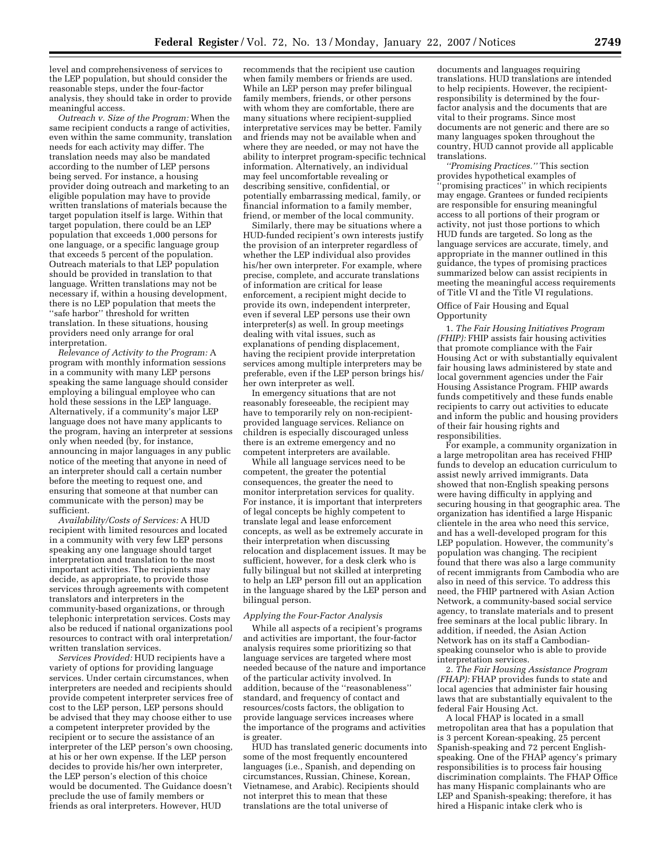level and comprehensiveness of services to the LEP population, but should consider the reasonable steps, under the four-factor analysis, they should take in order to provide meaningful access.

*Outreach v. Size of the Program:* When the same recipient conducts a range of activities, even within the same community, translation needs for each activity may differ. The translation needs may also be mandated according to the number of LEP persons being served. For instance, a housing provider doing outreach and marketing to an eligible population may have to provide written translations of materials because the target population itself is large. Within that target population, there could be an LEP population that exceeds 1,000 persons for one language, or a specific language group that exceeds 5 percent of the population. Outreach materials to that LEP population should be provided in translation to that language. Written translations may not be necessary if, within a housing development, there is no LEP population that meets the ''safe harbor'' threshold for written translation. In these situations, housing providers need only arrange for oral interpretation.

*Relevance of Activity to the Program:* A program with monthly information sessions in a community with many LEP persons speaking the same language should consider employing a bilingual employee who can hold these sessions in the LEP language. Alternatively, if a community's major LEP language does not have many applicants to the program, having an interpreter at sessions only when needed (by, for instance, announcing in major languages in any public notice of the meeting that anyone in need of an interpreter should call a certain number before the meeting to request one, and ensuring that someone at that number can communicate with the person) may be sufficient.

*Availability/Costs of Services:* A HUD recipient with limited resources and located in a community with very few LEP persons speaking any one language should target interpretation and translation to the most important activities. The recipients may decide, as appropriate, to provide those services through agreements with competent translators and interpreters in the community-based organizations, or through telephonic interpretation services. Costs may also be reduced if national organizations pool resources to contract with oral interpretation/ written translation services.

*Services Provided:* HUD recipients have a variety of options for providing language services. Under certain circumstances, when interpreters are needed and recipients should provide competent interpreter services free of cost to the LEP person, LEP persons should be advised that they may choose either to use a competent interpreter provided by the recipient or to secure the assistance of an interpreter of the LEP person's own choosing, at his or her own expense. If the LEP person decides to provide his/her own interpreter, the LEP person's election of this choice would be documented. The Guidance doesn't preclude the use of family members or friends as oral interpreters. However, HUD

recommends that the recipient use caution when family members or friends are used. While an LEP person may prefer bilingual family members, friends, or other persons with whom they are comfortable, there are many situations where recipient-supplied interpretative services may be better. Family and friends may not be available when and where they are needed, or may not have the ability to interpret program-specific technical information. Alternatively, an individual may feel uncomfortable revealing or describing sensitive, confidential, or potentially embarrassing medical, family, or financial information to a family member, friend, or member of the local community.

Similarly, there may be situations where a HUD-funded recipient's own interests justify the provision of an interpreter regardless of whether the LEP individual also provides his/her own interpreter. For example, where precise, complete, and accurate translations of information are critical for lease enforcement, a recipient might decide to provide its own, independent interpreter, even if several LEP persons use their own interpreter(s) as well. In group meetings dealing with vital issues, such as explanations of pending displacement, having the recipient provide interpretation services among multiple interpreters may be preferable, even if the LEP person brings his/ her own interpreter as well.

In emergency situations that are not reasonably foreseeable, the recipient may have to temporarily rely on non-recipientprovided language services. Reliance on children is especially discouraged unless there is an extreme emergency and no competent interpreters are available.

While all language services need to be competent, the greater the potential consequences, the greater the need to monitor interpretation services for quality. For instance, it is important that interpreters of legal concepts be highly competent to translate legal and lease enforcement concepts, as well as be extremely accurate in their interpretation when discussing relocation and displacement issues. It may be sufficient, however, for a desk clerk who is fully bilingual but not skilled at interpreting to help an LEP person fill out an application in the language shared by the LEP person and bilingual person.

#### *Applying the Four-Factor Analysis*

While all aspects of a recipient's programs and activities are important, the four-factor analysis requires some prioritizing so that language services are targeted where most needed because of the nature and importance of the particular activity involved. In addition, because of the ''reasonableness'' standard, and frequency of contact and resources/costs factors, the obligation to provide language services increases where the importance of the programs and activities is greater.

HUD has translated generic documents into some of the most frequently encountered languages (i.e., Spanish, and depending on circumstances, Russian, Chinese, Korean, Vietnamese, and Arabic). Recipients should not interpret this to mean that these translations are the total universe of

documents and languages requiring translations. HUD translations are intended to help recipients. However, the recipientresponsibility is determined by the fourfactor analysis and the documents that are vital to their programs. Since most documents are not generic and there are so many languages spoken throughout the country, HUD cannot provide all applicable translations.

*''Promising Practices.''* This section provides hypothetical examples of 'promising practices'' in which recipients may engage. Grantees or funded recipients are responsible for ensuring meaningful access to all portions of their program or activity, not just those portions to which HUD funds are targeted. So long as the language services are accurate, timely, and appropriate in the manner outlined in this guidance, the types of promising practices summarized below can assist recipients in meeting the meaningful access requirements of Title VI and the Title VI regulations.

#### Office of Fair Housing and Equal **Opportunity**

1. *The Fair Housing Initiatives Program (FHIP):* FHIP assists fair housing activities that promote compliance with the Fair Housing Act or with substantially equivalent fair housing laws administered by state and local government agencies under the Fair Housing Assistance Program. FHIP awards funds competitively and these funds enable recipients to carry out activities to educate and inform the public and housing providers of their fair housing rights and responsibilities.

For example, a community organization in a large metropolitan area has received FHIP funds to develop an education curriculum to assist newly arrived immigrants. Data showed that non-English speaking persons were having difficulty in applying and securing housing in that geographic area. The organization has identified a large Hispanic clientele in the area who need this service, and has a well-developed program for this LEP population. However, the community's population was changing. The recipient found that there was also a large community of recent immigrants from Cambodia who are also in need of this service. To address this need, the FHIP partnered with Asian Action Network, a community-based social service agency, to translate materials and to present free seminars at the local public library. In addition, if needed, the Asian Action Network has on its staff a Cambodianspeaking counselor who is able to provide interpretation services.

2. *The Fair Housing Assistance Program (FHAP):* FHAP provides funds to state and local agencies that administer fair housing laws that are substantially equivalent to the federal Fair Housing Act.

A local FHAP is located in a small metropolitan area that has a population that is 3 percent Korean-speaking, 25 percent Spanish-speaking and 72 percent Englishspeaking. One of the FHAP agency's primary responsibilities is to process fair housing discrimination complaints. The FHAP Office has many Hispanic complainants who are LEP and Spanish-speaking; therefore, it has hired a Hispanic intake clerk who is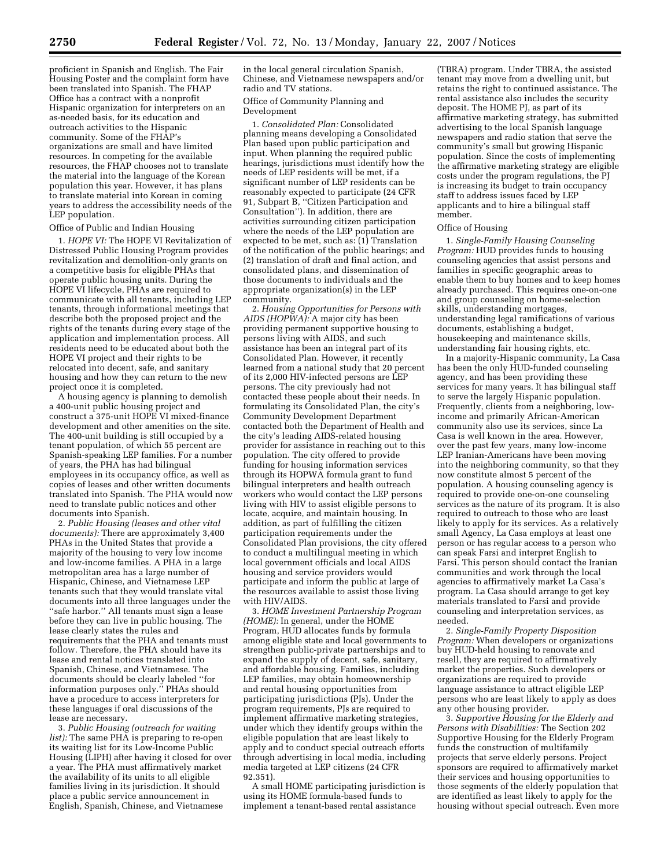proficient in Spanish and English. The Fair Housing Poster and the complaint form have been translated into Spanish. The FHAP Office has a contract with a nonprofit Hispanic organization for interpreters on an as-needed basis, for its education and outreach activities to the Hispanic community. Some of the FHAP's organizations are small and have limited resources. In competing for the available resources, the FHAP chooses not to translate the material into the language of the Korean population this year. However, it has plans to translate material into Korean in coming years to address the accessibility needs of the LEP population.

Office of Public and Indian Housing

1. *HOPE VI:* The HOPE VI Revitalization of Distressed Public Housing Program provides revitalization and demolition-only grants on a competitive basis for eligible PHAs that operate public housing units. During the HOPE VI lifecycle, PHAs are required to communicate with all tenants, including LEP tenants, through informational meetings that describe both the proposed project and the rights of the tenants during every stage of the application and implementation process. All residents need to be educated about both the HOPE VI project and their rights to be relocated into decent, safe, and sanitary housing and how they can return to the new project once it is completed.

A housing agency is planning to demolish a 400-unit public housing project and construct a 375-unit HOPE VI mixed-finance development and other amenities on the site. The 400-unit building is still occupied by a tenant population, of which 55 percent are Spanish-speaking LEP families. For a number of years, the PHA has had bilingual employees in its occupancy office, as well as copies of leases and other written documents translated into Spanish. The PHA would now need to translate public notices and other documents into Spanish.

2. *Public Housing (leases and other vital documents):* There are approximately 3,400 PHAs in the United States that provide a majority of the housing to very low income and low-income families. A PHA in a large metropolitan area has a large number of Hispanic, Chinese, and Vietnamese LEP tenants such that they would translate vital documents into all three languages under the ''safe harbor.'' All tenants must sign a lease before they can live in public housing. The lease clearly states the rules and requirements that the PHA and tenants must follow. Therefore, the PHA should have its lease and rental notices translated into Spanish, Chinese, and Vietnamese. The documents should be clearly labeled ''for information purposes only.'' PHAs should have a procedure to access interpreters for these languages if oral discussions of the lease are necessary.

3. *Public Housing (outreach for waiting list):* The same PHA is preparing to re-open its waiting list for its Low-Income Public Housing (LIPH) after having it closed for over a year. The PHA must affirmatively market the availability of its units to all eligible families living in its jurisdiction. It should place a public service announcement in English, Spanish, Chinese, and Vietnamese

in the local general circulation Spanish, Chinese, and Vietnamese newspapers and/or radio and TV stations.

## Office of Community Planning and Development

1. *Consolidated Plan:* Consolidated planning means developing a Consolidated Plan based upon public participation and input. When planning the required public hearings, jurisdictions must identify how the needs of LEP residents will be met, if a significant number of LEP residents can be reasonably expected to participate (24 CFR 91, Subpart B, ''Citizen Participation and Consultation''). In addition, there are activities surrounding citizen participation where the needs of the LEP population are expected to be met, such as: (1) Translation of the notification of the public hearings; and (2) translation of draft and final action, and consolidated plans, and dissemination of those documents to individuals and the appropriate organization(s) in the LEP community.

2. *Housing Opportunities for Persons with AIDS (HOPWA):* A major city has been providing permanent supportive housing to persons living with AIDS, and such assistance has been an integral part of its Consolidated Plan. However, it recently learned from a national study that 20 percent of its 2,000 HIV-infected persons are LEP persons. The city previously had not contacted these people about their needs. In formulating its Consolidated Plan, the city's Community Development Department contacted both the Department of Health and the city's leading AIDS-related housing provider for assistance in reaching out to this population. The city offered to provide funding for housing information services through its HOPWA formula grant to fund bilingual interpreters and health outreach workers who would contact the LEP persons living with HIV to assist eligible persons to locate, acquire, and maintain housing. In addition, as part of fulfilling the citizen participation requirements under the Consolidated Plan provisions, the city offered to conduct a multilingual meeting in which local government officials and local AIDS housing and service providers would participate and inform the public at large of the resources available to assist those living with HIV/AIDS.

3. *HOME Investment Partnership Program (HOME):* In general, under the HOME Program, HUD allocates funds by formula among eligible state and local governments to strengthen public-private partnerships and to expand the supply of decent, safe, sanitary, and affordable housing. Families, including LEP families, may obtain homeownership and rental housing opportunities from participating jurisdictions (PJs). Under the program requirements, PJs are required to implement affirmative marketing strategies, under which they identify groups within the eligible population that are least likely to apply and to conduct special outreach efforts through advertising in local media, including media targeted at LEP citizens (24 CFR 92.351).

A small HOME participating jurisdiction is using its HOME formula-based funds to implement a tenant-based rental assistance

(TBRA) program. Under TBRA, the assisted tenant may move from a dwelling unit, but retains the right to continued assistance. The rental assistance also includes the security deposit. The HOME PJ, as part of its affirmative marketing strategy, has submitted advertising to the local Spanish language newspapers and radio station that serve the community's small but growing Hispanic population. Since the costs of implementing the affirmative marketing strategy are eligible costs under the program regulations, the PJ is increasing its budget to train occupancy staff to address issues faced by LEP applicants and to hire a bilingual staff member.

## Office of Housing

1. *Single-Family Housing Counseling Program:* HUD provides funds to housing counseling agencies that assist persons and families in specific geographic areas to enable them to buy homes and to keep homes already purchased. This requires one-on-one and group counseling on home-selection skills, understanding mortgages, understanding legal ramifications of various documents, establishing a budget, housekeeping and maintenance skills, understanding fair housing rights, etc.

In a majority-Hispanic community, La Casa has been the only HUD-funded counseling agency, and has been providing these services for many years. It has bilingual staff to serve the largely Hispanic population. Frequently, clients from a neighboring, lowincome and primarily African-American community also use its services, since La Casa is well known in the area. However, over the past few years, many low-income LEP Iranian-Americans have been moving into the neighboring community, so that they now constitute almost 5 percent of the population. A housing counseling agency is required to provide one-on-one counseling services as the nature of its program. It is also required to outreach to those who are least likely to apply for its services. As a relatively small Agency, La Casa employs at least one person or has regular access to a person who can speak Farsi and interpret English to Farsi. This person should contact the Iranian communities and work through the local agencies to affirmatively market La Casa's program. La Casa should arrange to get key materials translated to Farsi and provide counseling and interpretation services, as needed.

2. *Single-Family Property Disposition Program:* When developers or organizations buy HUD-held housing to renovate and resell, they are required to affirmatively market the properties. Such developers or organizations are required to provide language assistance to attract eligible LEP persons who are least likely to apply as does any other housing provider.

3. *Supportive Housing for the Elderly and Persons with Disabilities:* The Section 202 Supportive Housing for the Elderly Program funds the construction of multifamily projects that serve elderly persons. Project sponsors are required to affirmatively market their services and housing opportunities to those segments of the elderly population that are identified as least likely to apply for the housing without special outreach. Even more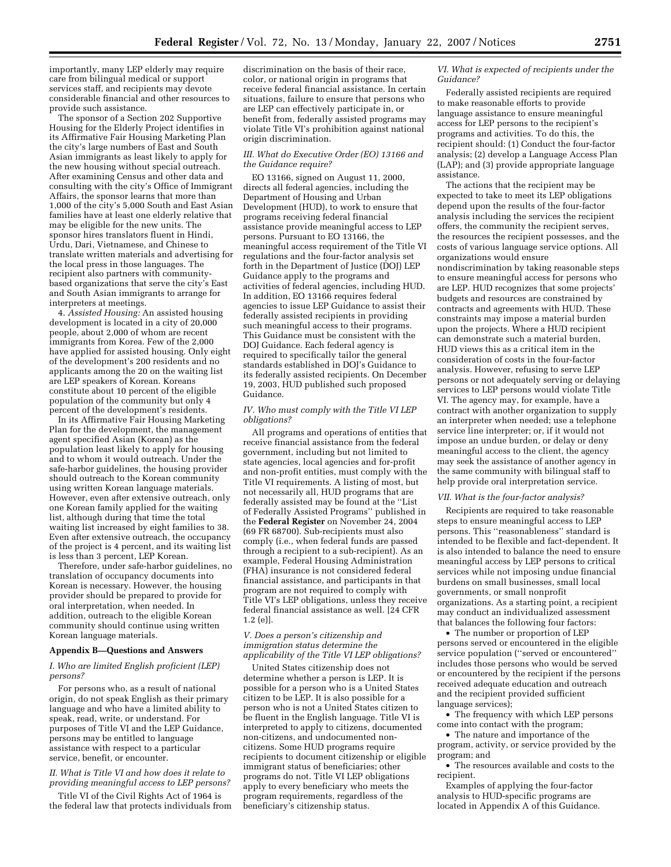importantly, many LEP elderly may require care from bilingual medical or support services staff, and recipients may devote considerable financial and other resources to provide such assistance.

The sponsor of a Section 202 Supportive Housing for the Elderly Project identifies in its Affirmative Fair Housing Marketing Plan the city's large numbers of East and South Asian immigrants as least likely to apply for the new housing without special outreach. After examining Census and other data and consulting with the city's Office of Immigrant Affairs, the sponsor learns that more than 1,000 of the city's 5,000 South and East Asian families have at least one elderly relative that may be eligible for the new units. The sponsor hires translators fluent in Hindi, Urdu, Dari, Vietnamese, and Chinese to translate written materials and advertising for the local press in those languages. The recipient also partners with communitybased organizations that serve the city's East and South Asian immigrants to arrange for interpreters at meetings.

4. *Assisted Housing:* An assisted housing development is located in a city of 20,000 people, about 2,000 of whom are recent immigrants from Korea. Few of the 2,000 have applied for assisted housing. Only eight of the development's 200 residents and no applicants among the 20 on the waiting list are LEP speakers of Korean. Koreans constitute about 10 percent of the eligible population of the community but only 4 percent of the development's residents.

In its Affirmative Fair Housing Marketing Plan for the development, the management agent specified Asian (Korean) as the population least likely to apply for housing and to whom it would outreach. Under the safe-harbor guidelines, the housing provider should outreach to the Korean community using written Korean language materials. However, even after extensive outreach, only one Korean family applied for the waiting list, although during that time the total waiting list increased by eight families to 38. Even after extensive outreach, the occupancy of the project is 4 percent, and its waiting list is less than 3 percent, LEP Korean.

Therefore, under safe-harbor guidelines, no translation of occupancy documents into Korean is necessary. However, the housing provider should be prepared to provide for oral interpretation, when needed. In addition, outreach to the eligible Korean community should continue using written Korean language materials.

### **Appendix B—Questions and Answers**

### *I. Who are limited English proficient (LEP) persons?*

For persons who, as a result of national origin, do not speak English as their primary language and who have a limited ability to speak, read, write, or understand. For purposes of Title VI and the LEP Guidance, persons may be entitled to language assistance with respect to a particular service, benefit, or encounter.

### *II. What is Title VI and how does it relate to providing meaningful access to LEP persons?*

Title VI of the Civil Rights Act of 1964 is the federal law that protects individuals from

discrimination on the basis of their race, color, or national origin in programs that receive federal financial assistance. In certain situations, failure to ensure that persons who are LEP can effectively participate in, or benefit from, federally assisted programs may violate Title VI's prohibition against national origin discrimination.

### *III. What do Executive Order (EO) 13166 and the Guidance require?*

EO 13166, signed on August 11, 2000, directs all federal agencies, including the Department of Housing and Urban Development (HUD), to work to ensure that programs receiving federal financial assistance provide meaningful access to LEP persons. Pursuant to EO 13166, the meaningful access requirement of the Title VI regulations and the four-factor analysis set forth in the Department of Justice (DOJ) LEP Guidance apply to the programs and activities of federal agencies, including HUD. In addition, EO 13166 requires federal agencies to issue LEP Guidance to assist their federally assisted recipients in providing such meaningful access to their programs. This Guidance must be consistent with the DOJ Guidance. Each federal agency is required to specifically tailor the general standards established in DOJ's Guidance to its federally assisted recipients. On December 19, 2003, HUD published such proposed Guidance.

### *IV. Who must comply with the Title VI LEP obligations?*

All programs and operations of entities that receive financial assistance from the federal government, including but not limited to state agencies, local agencies and for-profit and non-profit entities, must comply with the Title VI requirements. A listing of most, but not necessarily all, HUD programs that are federally assisted may be found at the ''List of Federally Assisted Programs'' published in the **Federal Register** on November 24, 2004 (69 FR 68700). Sub-recipients must also comply (i.e., when federal funds are passed through a recipient to a sub-recipient). As an example, Federal Housing Administration (FHA) insurance is not considered federal financial assistance, and participants in that program are not required to comply with Title VI's LEP obligations, unless they receive federal financial assistance as well. [24 CFR 1.2 (e)].

#### *V. Does a person's citizenship and immigration status determine the applicability of the Title VI LEP obligations?*

United States citizenship does not determine whether a person is LEP. It is possible for a person who is a United States citizen to be LEP. It is also possible for a person who is not a United States citizen to be fluent in the English language. Title VI is interpreted to apply to citizens, documented non-citizens, and undocumented noncitizens. Some HUD programs require recipients to document citizenship or eligible immigrant status of beneficiaries; other programs do not. Title VI LEP obligations apply to every beneficiary who meets the program requirements, regardless of the beneficiary's citizenship status.

#### *VI. What is expected of recipients under the Guidance?*

Federally assisted recipients are required to make reasonable efforts to provide language assistance to ensure meaningful access for LEP persons to the recipient's programs and activities. To do this, the recipient should: (1) Conduct the four-factor analysis; (2) develop a Language Access Plan (LAP); and (3) provide appropriate language assistance.

The actions that the recipient may be expected to take to meet its LEP obligations depend upon the results of the four-factor analysis including the services the recipient offers, the community the recipient serves, the resources the recipient possesses, and the costs of various language service options. All organizations would ensure nondiscrimination by taking reasonable steps to ensure meaningful access for persons who are LEP. HUD recognizes that some projects' budgets and resources are constrained by contracts and agreements with HUD. These constraints may impose a material burden upon the projects. Where a HUD recipient can demonstrate such a material burden, HUD views this as a critical item in the consideration of costs in the four-factor analysis. However, refusing to serve LEP persons or not adequately serving or delaying services to LEP persons would violate Title VI. The agency may, for example, have a contract with another organization to supply an interpreter when needed; use a telephone service line interpreter; or, if it would not impose an undue burden, or delay or deny meaningful access to the client, the agency may seek the assistance of another agency in the same community with bilingual staff to help provide oral interpretation service.

#### *VII. What is the four-factor analysis?*

Recipients are required to take reasonable steps to ensure meaningful access to LEP persons. This ''reasonableness'' standard is intended to be flexible and fact-dependent. It is also intended to balance the need to ensure meaningful access by LEP persons to critical services while not imposing undue financial burdens on small businesses, small local governments, or small nonprofit organizations. As a starting point, a recipient may conduct an individualized assessment that balances the following four factors:

• The number or proportion of LEP persons served or encountered in the eligible service population (''served or encountered'' includes those persons who would be served or encountered by the recipient if the persons received adequate education and outreach and the recipient provided sufficient language services);

• The frequency with which LEP persons come into contact with the program;

• The nature and importance of the program, activity, or service provided by the program; and

• The resources available and costs to the recipient.

Examples of applying the four-factor analysis to HUD-specific programs are located in Appendix A of this Guidance.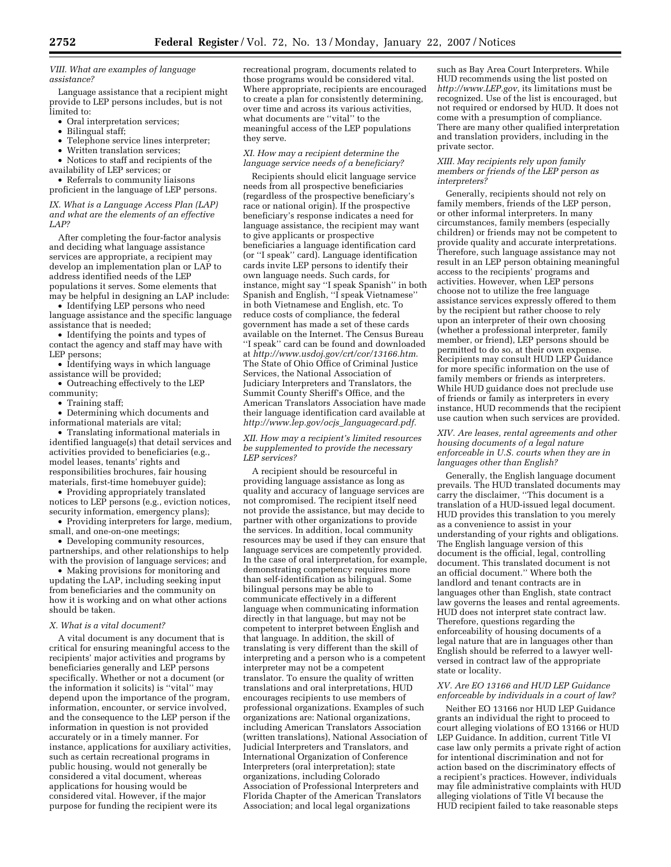### *VIII. What are examples of language assistance?*

Language assistance that a recipient might provide to LEP persons includes, but is not limited to:

- Oral interpretation services;
- Bilingual staff;
- Telephone service lines interpreter;
- Written translation services;

• Notices to staff and recipients of the availability of LEP services; or

• Referrals to community liaisons proficient in the language of LEP persons.

### *IX. What is a Language Access Plan (LAP) and what are the elements of an effective LAP?*

After completing the four-factor analysis and deciding what language assistance services are appropriate, a recipient may develop an implementation plan or LAP to address identified needs of the LEP populations it serves. Some elements that may be helpful in designing an LAP include:

• Identifying LEP persons who need language assistance and the specific language assistance that is needed;

• Identifying the points and types of contact the agency and staff may have with LEP persons;

• Identifying ways in which language assistance will be provided;

• Outreaching effectively to the LEP community;

• Training staff;

• Determining which documents and informational materials are vital;

• Translating informational materials in identified language(s) that detail services and activities provided to beneficiaries (e.g., model leases, tenants' rights and responsibilities brochures, fair housing materials, first-time homebuyer guide);

• Providing appropriately translated notices to LEP persons (e.g., eviction notices, security information, emergency plans);

• Providing interpreters for large, medium, small, and one-on-one meetings;

• Developing community resources, partnerships, and other relationships to help with the provision of language services; and

• Making provisions for monitoring and updating the LAP, including seeking input from beneficiaries and the community on how it is working and on what other actions should be taken.

#### *X. What is a vital document?*

A vital document is any document that is critical for ensuring meaningful access to the recipients' major activities and programs by beneficiaries generally and LEP persons specifically. Whether or not a document (or the information it solicits) is ''vital'' may depend upon the importance of the program, information, encounter, or service involved, and the consequence to the LEP person if the information in question is not provided accurately or in a timely manner. For instance, applications for auxiliary activities, such as certain recreational programs in public housing, would not generally be considered a vital document, whereas applications for housing would be considered vital. However, if the major purpose for funding the recipient were its

recreational program, documents related to those programs would be considered vital. Where appropriate, recipients are encouraged to create a plan for consistently determining, over time and across its various activities, what documents are ''vital'' to the meaningful access of the LEP populations they serve.

#### *XI. How may a recipient determine the language service needs of a beneficiary?*

Recipients should elicit language service needs from all prospective beneficiaries (regardless of the prospective beneficiary's race or national origin). If the prospective beneficiary's response indicates a need for language assistance, the recipient may want to give applicants or prospective beneficiaries a language identification card (or ''I speak'' card). Language identification cards invite LEP persons to identify their own language needs. Such cards, for instance, might say ''I speak Spanish'' in both Spanish and English, ''I speak Vietnamese'' in both Vietnamese and English, etc. To reduce costs of compliance, the federal government has made a set of these cards available on the Internet. The Census Bureau ''I speak'' card can be found and downloaded at *http://www.usdoj.gov/crt/cor/13166.htm.*  The State of Ohio Office of Criminal Justice Services, the National Association of Judiciary Interpreters and Translators, the Summit County Sheriff's Office, and the American Translators Association have made their language identification card available at *http://www.lep.gov/ocjs*\_*languagecard.pdf.* 

### *XII. How may a recipient's limited resources be supplemented to provide the necessary LEP services?*

A recipient should be resourceful in providing language assistance as long as quality and accuracy of language services are not compromised. The recipient itself need not provide the assistance, but may decide to partner with other organizations to provide the services. In addition, local community resources may be used if they can ensure that language services are competently provided. In the case of oral interpretation, for example, demonstrating competency requires more than self-identification as bilingual. Some bilingual persons may be able to communicate effectively in a different language when communicating information directly in that language, but may not be competent to interpret between English and that language. In addition, the skill of translating is very different than the skill of interpreting and a person who is a competent interpreter may not be a competent translator. To ensure the quality of written translations and oral interpretations, HUD encourages recipients to use members of professional organizations. Examples of such organizations are: National organizations, including American Translators Association (written translations), National Association of Judicial Interpreters and Translators, and International Organization of Conference Interpreters (oral interpretation); state organizations, including Colorado Association of Professional Interpreters and Florida Chapter of the American Translators Association; and local legal organizations

such as Bay Area Court Interpreters. While HUD recommends using the list posted on *http://www.LEP.gov,* its limitations must be recognized. Use of the list is encouraged, but not required or endorsed by HUD. It does not come with a presumption of compliance. There are many other qualified interpretation and translation providers, including in the private sector.

### *XIII. May recipients rely upon family members or friends of the LEP person as interpreters?*

Generally, recipients should not rely on family members, friends of the LEP person, or other informal interpreters. In many circumstances, family members (especially children) or friends may not be competent to provide quality and accurate interpretations. Therefore, such language assistance may not result in an LEP person obtaining meaningful access to the recipients' programs and activities. However, when LEP persons choose not to utilize the free language assistance services expressly offered to them by the recipient but rather choose to rely upon an interpreter of their own choosing (whether a professional interpreter, family member, or friend), LEP persons should be permitted to do so, at their own expense. Recipients may consult HUD LEP Guidance for more specific information on the use of family members or friends as interpreters. While HUD guidance does not preclude use of friends or family as interpreters in every instance, HUD recommends that the recipient use caution when such services are provided.

### *XIV. Are leases, rental agreements and other housing documents of a legal nature enforceable in U.S. courts when they are in languages other than English?*

Generally, the English language document prevails. The HUD translated documents may carry the disclaimer, ''This document is a translation of a HUD-issued legal document. HUD provides this translation to you merely as a convenience to assist in your understanding of your rights and obligations. The English language version of this document is the official, legal, controlling document. This translated document is not an official document.'' Where both the landlord and tenant contracts are in languages other than English, state contract law governs the leases and rental agreements. HUD does not interpret state contract law. Therefore, questions regarding the enforceability of housing documents of a legal nature that are in languages other than English should be referred to a lawyer wellversed in contract law of the appropriate state or locality.

### *XV. Are EO 13166 and HUD LEP Guidance enforceable by individuals in a court of law?*

Neither EO 13166 nor HUD LEP Guidance grants an individual the right to proceed to court alleging violations of EO 13166 or HUD LEP Guidance. In addition, current Title VI case law only permits a private right of action for intentional discrimination and not for action based on the discriminatory effects of a recipient's practices. However, individuals may file administrative complaints with HUD alleging violations of Title VI because the HUD recipient failed to take reasonable steps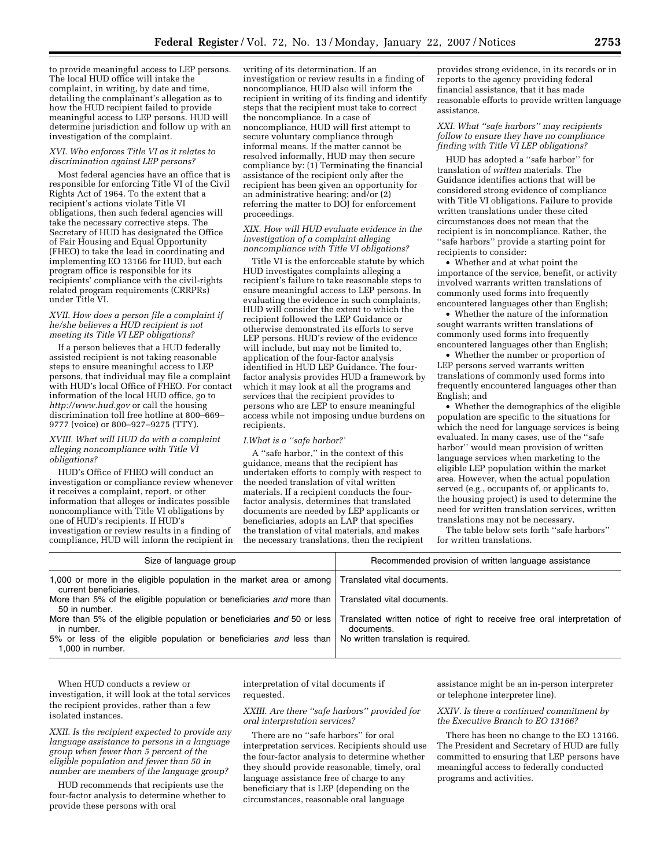to provide meaningful access to LEP persons. The local HUD office will intake the complaint, in writing, by date and time, detailing the complainant's allegation as to how the HUD recipient failed to provide meaningful access to LEP persons. HUD will determine jurisdiction and follow up with an investigation of the complaint.

#### *XVI. Who enforces Title VI as it relates to discrimination against LEP persons?*

Most federal agencies have an office that is responsible for enforcing Title VI of the Civil Rights Act of 1964. To the extent that a recipient's actions violate Title VI obligations, then such federal agencies will take the necessary corrective steps. The Secretary of HUD has designated the Office of Fair Housing and Equal Opportunity (FHEO) to take the lead in coordinating and implementing EO 13166 for HUD, but each program office is responsible for its recipients' compliance with the civil-rights related program requirements (CRRPRs) under Title VI.

#### *XVII. How does a person file a complaint if he/she believes a HUD recipient is not meeting its Title VI LEP obligations?*

If a person believes that a HUD federally assisted recipient is not taking reasonable steps to ensure meaningful access to LEP persons, that individual may file a complaint with HUD's local Office of FHEO. For contact information of the local HUD office, go to *http://www.hud.gov* or call the housing discrimination toll free hotline at 800–669– 9777 (voice) or 800–927–9275 (TTY).

### *XVIII. What will HUD do with a complaint alleging noncompliance with Title VI obligations?*

HUD's Office of FHEO will conduct an investigation or compliance review whenever it receives a complaint, report, or other information that alleges or indicates possible noncompliance with Title VI obligations by one of HUD's recipients. If HUD's investigation or review results in a finding of compliance, HUD will inform the recipient in

writing of its determination. If an investigation or review results in a finding of noncompliance, HUD also will inform the recipient in writing of its finding and identify steps that the recipient must take to correct the noncompliance. In a case of noncompliance, HUD will first attempt to secure voluntary compliance through informal means. If the matter cannot be resolved informally, HUD may then secure compliance by: (1) Terminating the financial assistance of the recipient only after the recipient has been given an opportunity for an administrative hearing; and/or (2) referring the matter to DOJ for enforcement proceedings.

### *XIX. How will HUD evaluate evidence in the investigation of a complaint alleging noncompliance with Title VI obligations?*

Title VI is the enforceable statute by which HUD investigates complaints alleging a recipient's failure to take reasonable steps to ensure meaningful access to LEP persons. In evaluating the evidence in such complaints, HUD will consider the extent to which the recipient followed the LEP Guidance or otherwise demonstrated its efforts to serve LEP persons. HUD's review of the evidence will include, but may not be limited to, application of the four-factor analysis identified in HUD LEP Guidance. The fourfactor analysis provides HUD a framework by which it may look at all the programs and services that the recipient provides to persons who are LEP to ensure meaningful access while not imposing undue burdens on recipients.

### *I.What is a ''safe harbor?'*

A ''safe harbor,'' in the context of this guidance, means that the recipient has undertaken efforts to comply with respect to the needed translation of vital written materials. If a recipient conducts the fourfactor analysis, determines that translated documents are needed by LEP applicants or beneficiaries, adopts an LAP that specifies the translation of vital materials, and makes the necessary translations, then the recipient

provides strong evidence, in its records or in reports to the agency providing federal financial assistance, that it has made reasonable efforts to provide written language assistance.

## *XXI. What ''safe harbors'' may recipients follow to ensure they have no compliance finding with Title VI LEP obligations?*

HUD has adopted a ''safe harbor'' for translation of *written* materials. The Guidance identifies actions that will be considered strong evidence of compliance with Title VI obligations. Failure to provide written translations under these cited circumstances does not mean that the recipient is in noncompliance. Rather, the ''safe harbors'' provide a starting point for recipients to consider:

• Whether and at what point the importance of the service, benefit, or activity involved warrants written translations of commonly used forms into frequently encountered languages other than English;

• Whether the nature of the information sought warrants written translations of commonly used forms into frequently encountered languages other than English;

• Whether the number or proportion of LEP persons served warrants written translations of commonly used forms into frequently encountered languages other than English; and

• Whether the demographics of the eligible population are specific to the situations for which the need for language services is being evaluated. In many cases, use of the ''safe harbor'' would mean provision of written language services when marketing to the eligible LEP population within the market area. However, when the actual population served (e.g., occupants of, or applicants to, the housing project) is used to determine the need for written translation services, written translations may not be necessary.

The table below sets forth ''safe harbors'' for written translations.

| Size of language group                                                                                              | Recommended provision of written language assistance                                    |
|---------------------------------------------------------------------------------------------------------------------|-----------------------------------------------------------------------------------------|
| 1,000 or more in the eligible population in the market area or among<br>current beneficiaries.                      | Translated vital documents.                                                             |
| More than 5% of the eligible population or beneficiaries and more than Translated vital documents.<br>50 in number. |                                                                                         |
| More than 5% of the eligible population or beneficiaries and 50 or less<br>in number.                               | Translated written notice of right to receive free oral interpretation of<br>documents. |
| 5% or less of the eligible population or beneficiaries and less than<br>1.000 in number.                            | No written translation is required.                                                     |

When HUD conducts a review or investigation, it will look at the total services the recipient provides, rather than a few isolated instances.

*XXII. Is the recipient expected to provide any language assistance to persons in a language group when fewer than 5 percent of the eligible population and fewer than 50 in number are members of the language group?* 

HUD recommends that recipients use the four-factor analysis to determine whether to provide these persons with oral

interpretation of vital documents if requested.

## *XXIII. Are there ''safe harbors'' provided for oral interpretation services?*

There are no ''safe harbors'' for oral interpretation services. Recipients should use the four-factor analysis to determine whether they should provide reasonable, timely, oral language assistance free of charge to any beneficiary that is LEP (depending on the circumstances, reasonable oral language

assistance might be an in-person interpreter or telephone interpreter line).

## *XXIV. Is there a continued commitment by the Executive Branch to EO 13166?*

There has been no change to the EO 13166. The President and Secretary of HUD are fully committed to ensuring that LEP persons have meaningful access to federally conducted programs and activities.